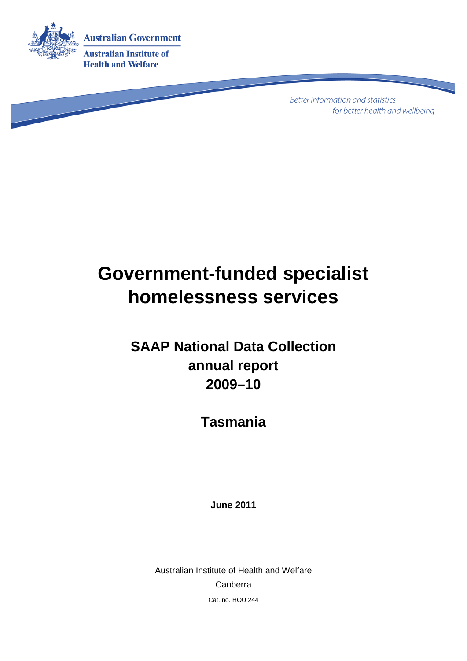

**Better information and statistics** for better health and wellbeing

# **Government-funded specialist homelessness services**

**SAAP National Data Collection annual report 2009–10**

**Tasmania**

**June 2011**

Australian Institute of Health and Welfare Canberra Cat. no. HOU 244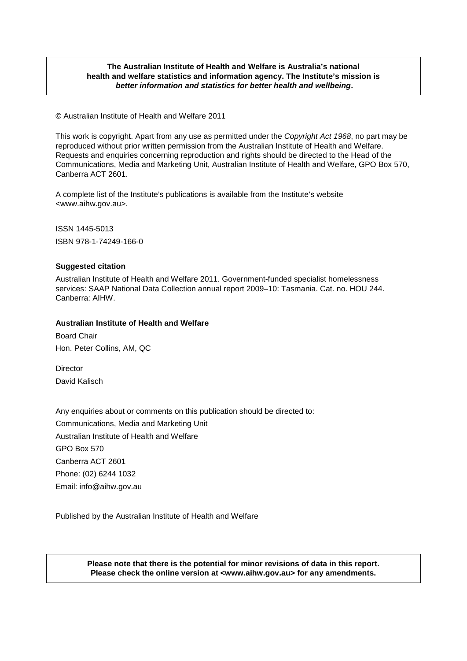#### **The Australian Institute of Health and Welfare is Australia's national health and welfare statistics and information agency. The Institute's mission is** *better information and statistics for better health and wellbeing***.**

© Australian Institute of Health and Welfare 2011

This work is copyright. Apart from any use as permitted under the *Copyright Act 1968*, no part may be reproduced without prior written permission from the Australian Institute of Health and Welfare. Requests and enquiries concerning reproduction and rights should be directed to the Head of the Communications, Media and Marketing Unit, Australian Institute of Health and Welfare, GPO Box 570, Canberra ACT 2601.

A complete list of the Institute's publications is available from the Institute's website <www.aihw.gov.au>.

ISSN 1445-5013 ISBN 978-1-74249-166-0

#### **Suggested citation**

Australian Institute of Health and Welfare 2011. Government-funded specialist homelessness services: SAAP National Data Collection annual report 2009–10: Tasmania. Cat. no. HOU 244. Canberra: AIHW.

#### **Australian Institute of Health and Welfare**

Board Chair Hon. Peter Collins, AM, QC

**Director** David Kalisch

Any enquiries about or comments on this publication should be directed to: Communications, Media and Marketing Unit Australian Institute of Health and Welfare GPO Box 570 Canberra ACT 2601 Phone: (02) 6244 1032 Email: info@aihw.gov.au

Published by the Australian Institute of Health and Welfare

**Please note that there is the potential for minor revisions of data in this report. Please check the online version at <www.aihw.gov.au> for any amendments.**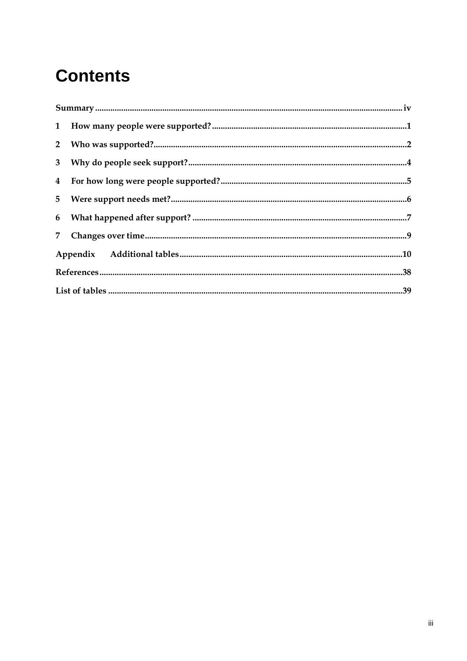## **Contents**

| $\begin{minipage}{0.9\linewidth} \textbf{Summary} \textbf{} \textbf{} \textbf{} \textbf{} \textbf{} \textbf{} \textbf{} \textbf{} \textbf{} \textbf{} \textbf{} \textbf{} \textbf{} \textbf{} \textbf{} \textbf{} \textbf{} \textbf{} \textbf{} \textbf{} \textbf{} \textbf{} \textbf{} \textbf{} \textbf{} \textbf{} \textbf{} \textbf{} \textbf{} \textbf{} \textbf{} \textbf{} \textbf{} \textbf$ |  |
|------------------------------------------------------------------------------------------------------------------------------------------------------------------------------------------------------------------------------------------------------------------------------------------------------------------------------------------------------------------------------------------------------|--|
|                                                                                                                                                                                                                                                                                                                                                                                                      |  |
|                                                                                                                                                                                                                                                                                                                                                                                                      |  |
|                                                                                                                                                                                                                                                                                                                                                                                                      |  |
|                                                                                                                                                                                                                                                                                                                                                                                                      |  |
|                                                                                                                                                                                                                                                                                                                                                                                                      |  |
|                                                                                                                                                                                                                                                                                                                                                                                                      |  |
|                                                                                                                                                                                                                                                                                                                                                                                                      |  |
|                                                                                                                                                                                                                                                                                                                                                                                                      |  |
|                                                                                                                                                                                                                                                                                                                                                                                                      |  |
|                                                                                                                                                                                                                                                                                                                                                                                                      |  |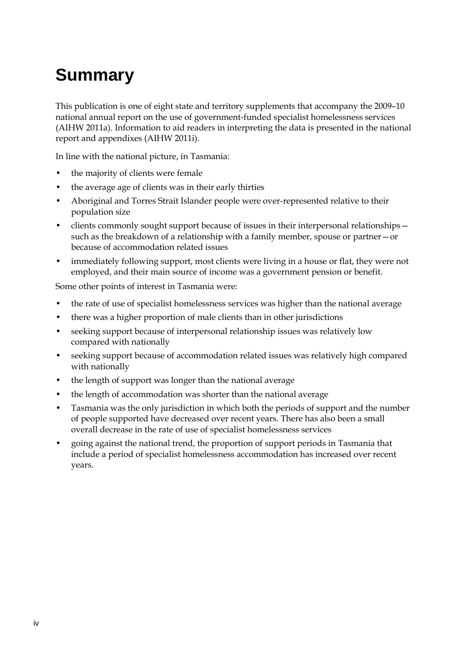# <span id="page-3-0"></span>**Summary**

This publication is one of eight state and territory supplements that accompany the 2009–10 national annual report on the use of government-funded specialist homelessness services (AIHW 2011a). Information to aid readers in interpreting the data is presented in the national report and appendixes (AIHW 2011i).

In line with the national picture, in Tasmania:

- the majority of clients were female
- the average age of clients was in their early thirties
- Aboriginal and Torres Strait Islander people were over-represented relative to their population size
- clients commonly sought support because of issues in their interpersonal relationships such as the breakdown of a relationship with a family member, spouse or partner—or because of accommodation related issues
- immediately following support, most clients were living in a house or flat, they were not employed, and their main source of income was a government pension or benefit.

Some other points of interest in Tasmania were:

- the rate of use of specialist homelessness services was higher than the national average
- there was a higher proportion of male clients than in other jurisdictions
- seeking support because of interpersonal relationship issues was relatively low compared with nationally
- seeking support because of accommodation related issues was relatively high compared with nationally
- the length of support was longer than the national average
- the length of accommodation was shorter than the national average
- Tasmania was the only jurisdiction in which both the periods of support and the number of people supported have decreased over recent years. There has also been a small overall decrease in the rate of use of specialist homelessness services
- going against the national trend, the proportion of support periods in Tasmania that include a period of specialist homelessness accommodation has increased over recent years.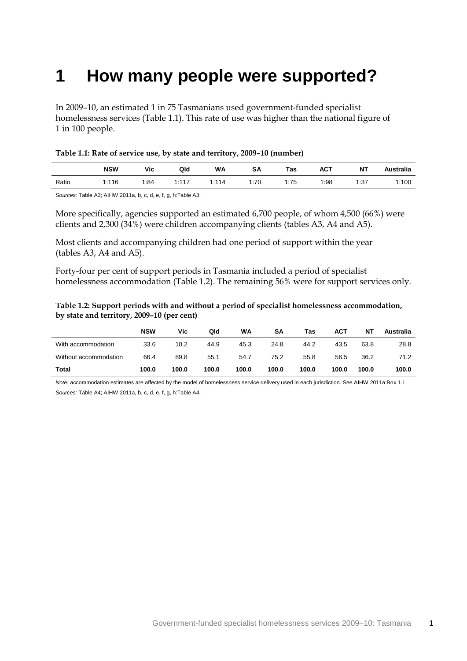### <span id="page-4-0"></span>**1 How many people were supported?**

In 2009–10, an estimated 1 in 75 Tasmanians used government-funded specialist homelessness services (Table 1.1). This rate of use was higher than the national figure of 1 in 100 people.

<span id="page-4-1"></span>

|       | <b>NSW</b> | Vic  | Qld        | <b>WA</b> | SΑ   | Tas  | <b>ACT</b> | ΝT   | <b>Australia</b> |
|-------|------------|------|------------|-----------|------|------|------------|------|------------------|
| Ratio | 1:116      | 1:84 | 1.117<br>. | 1:114     | 1:70 | 1:75 | 1:98       | 1:37 | 1:100            |

*Sources:* Table A3; AIHW 2011a, b, c, d, e, f, g, h:Table A3.

More specifically, agencies supported an estimated 6,700 people, of whom 4,500 (66%) were clients and 2,300 (34%) were children accompanying clients (tables A3, A4 and A5).

Most clients and accompanying children had one period of support within the year (tables A3, A4 and A5).

Forty-four per cent of support periods in Tasmania included a period of specialist homelessness accommodation (Table 1.2). The remaining 56% were for support services only.

<span id="page-4-2"></span>

| Table 1.2: Support periods with and without a period of specialist homelessness accommodation, |
|------------------------------------------------------------------------------------------------|
| by state and territory, 2009–10 (per cent)                                                     |

|                       | <b>NSW</b> | Vic   | Qld   | WA    | SΑ    | Tas   | <b>ACT</b> | NΤ    | <b>Australia</b> |
|-----------------------|------------|-------|-------|-------|-------|-------|------------|-------|------------------|
| With accommodation    | 33.6       | 10.2  | 44.9  | 45.3  | 24.8  | 44.2  | 43.5       | 63.8  | 28.8             |
| Without accommodation | 66.4       | 89.8  | 55.1  | 54.7  | 75.2  | 55.8  | 56.5       | 36.2  | 71.2             |
| Total                 | 100.0      | 100.0 | 100.0 | 100.0 | 100.0 | 100.0 | 100.0      | 100.0 | 100.0            |

*Note:* accommodation estimates are affected by the model of homelessness service delivery used in each jurisdiction. See AIHW 2011a:Box 1.1. *Sources:* Table A4; AIHW 2011a, b, c, d, e, f, g, h:Table A4.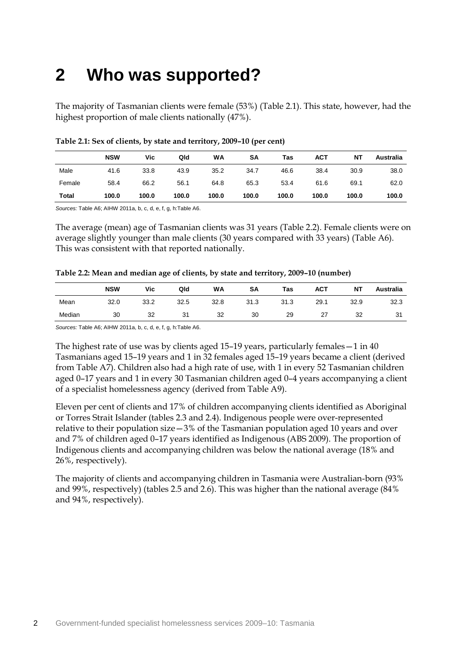## <span id="page-5-0"></span>**2 Who was supported?**

The majority of Tasmanian clients were female (53%) (Table 2.1). This state, however, had the highest proportion of male clients nationally (47%).

|        | <b>NSW</b> | Vic   | Qld   | WA    | SΑ    | Tas   | <b>ACT</b> | NΤ    | Australia |
|--------|------------|-------|-------|-------|-------|-------|------------|-------|-----------|
| Male   | 41.6       | 33.8  | 43.9  | 35.2  | 34.7  | 46.6  | 38.4       | 30.9  | 38.0      |
| Female | 58.4       | 66.2  | 56.1  | 64.8  | 65.3  | 53.4  | 61.6       | 69.1  | 62.0      |
| Total  | 100.0      | 100.0 | 100.0 | 100.0 | 100.0 | 100.0 | 100.0      | 100.0 | 100.0     |

#### <span id="page-5-1"></span>**Table 2.1: Sex of clients, by state and territory, 2009–10 (per cent)**

*Sources:* Table A6; AIHW 2011a, b, c, d, e, f, g, h:Table A6.

The average (mean) age of Tasmanian clients was 31 years (Table 2.2). Female clients were on average slightly younger than male clients (30 years compared with 33 years) (Table A6). This was consistent with that reported nationally.

<span id="page-5-2"></span>

| Table 2.2: Mean and median age of clients, by state and territory, 2009-10 (number) |  |  |  |  |
|-------------------------------------------------------------------------------------|--|--|--|--|
|-------------------------------------------------------------------------------------|--|--|--|--|

|        | <b>NSW</b> | Vic  | Qld  | WA   | SA   | Tas  | <b>ACT</b> | <b>NT</b> | Australia |
|--------|------------|------|------|------|------|------|------------|-----------|-----------|
| Mean   | 32.0       | 33.2 | 32.5 | 32.8 | 31.3 | 31.3 | 29.1       | 32.9      | 32.3      |
| Median | 30         | 32   | 31   | 32   | 30   | 29   | 27         | 32        | 31        |

*Sources:* Table A6; AIHW 2011a, b, c, d, e, f, g, h:Table A6.

The highest rate of use was by clients aged 15–19 years, particularly females—1 in 40 Tasmanians aged 15–19 years and 1 in 32 females aged 15–19 years became a client (derived from Table A7). Children also had a high rate of use, with 1 in every 52 Tasmanian children aged 0–17 years and 1 in every 30 Tasmanian children aged 0–4 years accompanying a client of a specialist homelessness agency (derived from Table A9).

Eleven per cent of clients and 17% of children accompanying clients identified as Aboriginal or Torres Strait Islander (tables 2.3 and 2.4). Indigenous people were over-represented relative to their population size—3% of the Tasmanian population aged 10 years and over and 7% of children aged 0–17 years identified as Indigenous (ABS 2009). The proportion of Indigenous clients and accompanying children was below the national average (18% and 26%, respectively).

The majority of clients and accompanying children in Tasmania were Australian-born (93% and 99%, respectively) (tables 2.5 and 2.6). This was higher than the national average (84% and 94%, respectively).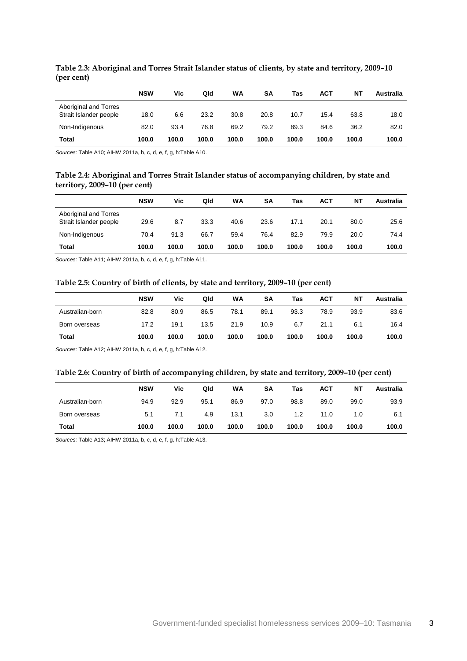|                                                 | <b>NSW</b> | Vic   | Qld   | WA    | SΑ    | Tas   | <b>ACT</b> | NΤ    | Australia |
|-------------------------------------------------|------------|-------|-------|-------|-------|-------|------------|-------|-----------|
| Aboriginal and Torres<br>Strait Islander people | 18.0       | 6.6   | 23.2  | 30.8  | 20.8  | 10.7  | 15.4       | 63.8  | 18.0      |
| Non-Indigenous                                  | 82.0       | 93.4  | 76.8  | 69.2  | 79.2  | 89.3  | 84.6       | 36.2  | 82.0      |
| Total                                           | 100.0      | 100.0 | 100.0 | 100.0 | 100.0 | 100.0 | 100.0      | 100.0 | 100.0     |

<span id="page-6-0"></span>**Table 2.3: Aboriginal and Torres Strait Islander status of clients, by state and territory, 2009–10 (per cent)**

<span id="page-6-1"></span>*Sources:* Table A10; AIHW 2011a, b, c, d, e, f, g, h:Table A10.

#### **Table 2.4: Aboriginal and Torres Strait Islander status of accompanying children, by state and territory, 2009–10 (per cent)**

|                                                 | <b>NSW</b> | Vic   | Qld   | WA    | SΑ    | Tas   | <b>ACT</b> | ΝT    | Australia |
|-------------------------------------------------|------------|-------|-------|-------|-------|-------|------------|-------|-----------|
| Aboriginal and Torres<br>Strait Islander people | 29.6       | 8.7   | 33.3  | 40.6  | 23.6  | 17.1  | 20.1       | 80.0  | 25.6      |
| Non-Indigenous                                  | 70.4       | 91.3  | 66.7  | 59.4  | 76.4  | 82.9  | 79.9       | 20.0  | 74.4      |
| <b>Total</b>                                    | 100.0      | 100.0 | 100.0 | 100.0 | 100.0 | 100.0 | 100.0      | 100.0 | 100.0     |

<span id="page-6-2"></span>*Sources:* Table A11; AIHW 2011a, b, c, d, e, f, g, h:Table A11.

#### **Table 2.5: Country of birth of clients, by state and territory, 2009–10 (per cent)**

|                 | <b>NSW</b> | Vic   | Qld   | WA    | SΑ    | Tas   | <b>ACT</b> | ΝT    | Australia |
|-----------------|------------|-------|-------|-------|-------|-------|------------|-------|-----------|
|                 |            |       |       |       |       |       |            |       |           |
| Australian-born | 82.8       | 80.9  | 86.5  | 78.1  | 89.1  | 93.3  | 78.9       | 93.9  | 83.6      |
| Born overseas   | 17.2       | 19.1  | 13.5  | 21.9  | 10.9  | 6.7   | 21.1       | 6.1   | 16.4      |
| Total           | 100.0      | 100.0 | 100.0 | 100.0 | 100.0 | 100.0 | 100.0      | 100.0 | 100.0     |

<span id="page-6-3"></span>*Sources:* Table A12; AIHW 2011a, b, c, d, e, f, g, h:Table A12.

#### **Table 2.6: Country of birth of accompanying children, by state and territory, 2009–10 (per cent)**

|                 | <b>NSW</b> | Vic   | Qld   | WA    | SA    | Tas   | <b>ACT</b> | NΤ    | Australia |
|-----------------|------------|-------|-------|-------|-------|-------|------------|-------|-----------|
| Australian-born | 94.9       | 92.9  | 95.1  | 86.9  | 97.0  | 98.8  | 89.0       | 99.0  | 93.9      |
| Born overseas   | 5.1        | 7.1   | 4.9   | 13.1  | 3.0   | 1.2   | 11.0       | 1.0   | 6.1       |
| <b>Total</b>    | 100.0      | 100.0 | 100.0 | 100.0 | 100.0 | 100.0 | 100.0      | 100.0 | 100.0     |

*Sources:* Table A13; AIHW 2011a, b, c, d, e, f, g, h:Table A13.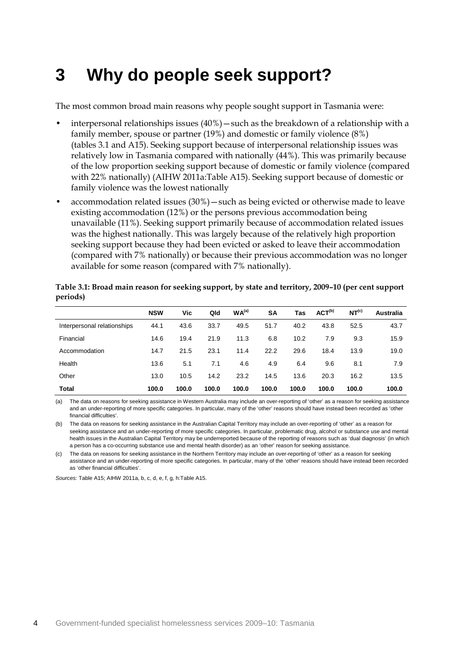### <span id="page-7-0"></span>**3 Why do people seek support?**

The most common broad main reasons why people sought support in Tasmania were:

- interpersonal relationships issues (40%)—such as the breakdown of a relationship with a family member, spouse or partner (19%) and domestic or family violence (8%) (tables 3.1 and A15). Seeking support because of interpersonal relationship issues was relatively low in Tasmania compared with nationally (44%). This was primarily because of the low proportion seeking support because of domestic or family violence (compared with 22% nationally) (AIHW 2011a:Table A15). Seeking support because of domestic or family violence was the lowest nationally
- accommodation related issues (30%)—such as being evicted or otherwise made to leave existing accommodation (12%) or the persons previous accommodation being unavailable (11%). Seeking support primarily because of accommodation related issues was the highest nationally. This was largely because of the relatively high proportion seeking support because they had been evicted or asked to leave their accommodation (compared with 7% nationally) or because their previous accommodation was no longer available for some reason (compared with 7% nationally).

|                             | <b>NSW</b> | <b>Vic</b> | Qld   | WA <sup>(a)</sup> | <b>SA</b> | Tas   | ACT <sup>(b)</sup> | NT <sup>(c)</sup> | Australia |
|-----------------------------|------------|------------|-------|-------------------|-----------|-------|--------------------|-------------------|-----------|
| Interpersonal relationships | 44.1       | 43.6       | 33.7  | 49.5              | 51.7      | 40.2  | 43.8               | 52.5              | 43.7      |
| Financial                   | 14.6       | 19.4       | 21.9  | 11.3              | 6.8       | 10.2  | 7.9                | 9.3               | 15.9      |
| Accommodation               | 14.7       | 21.5       | 23.1  | 11.4              | 22.2      | 29.6  | 18.4               | 13.9              | 19.0      |
| Health                      | 13.6       | 5.1        | 7.1   | 4.6               | 4.9       | 6.4   | 9.6                | 8.1               | 7.9       |
| Other                       | 13.0       | 10.5       | 14.2  | 23.2              | 14.5      | 13.6  | 20.3               | 16.2              | 13.5      |
| <b>Total</b>                | 100.0      | 100.0      | 100.0 | 100.0             | 100.0     | 100.0 | 100.0              | 100.0             | 100.0     |

<span id="page-7-1"></span>**Table 3.1: Broad main reason for seeking support, by state and territory, 2009–10 (per cent support periods)**

(a) The data on reasons for seeking assistance in Western Australia may include an over-reporting of 'other' as a reason for seeking assistance and an under-reporting of more specific categories. In particular, many of the 'other' reasons should have instead been recorded as 'other financial difficulties'.

(b) The data on reasons for seeking assistance in the Australian Capital Territory may include an over-reporting of 'other' as a reason for seeking assistance and an under-reporting of more specific categories. In particular, problematic drug, alcohol or substance use and mental health issues in the Australian Capital Territory may be underreported because of the reporting of reasons such as 'dual diagnosis' (in which a person has a co-occurring substance use and mental health disorder) as an 'other' reason for seeking assistance.

(c) The data on reasons for seeking assistance in the Northern Territory may include an over-reporting of 'other' as a reason for seeking assistance and an under-reporting of more specific categories. In particular, many of the 'other' reasons should have instead been recorded as 'other financial difficulties'.

*Sources:* Table A15; AIHW 2011a, b, c, d, e, f, g, h:Table A15.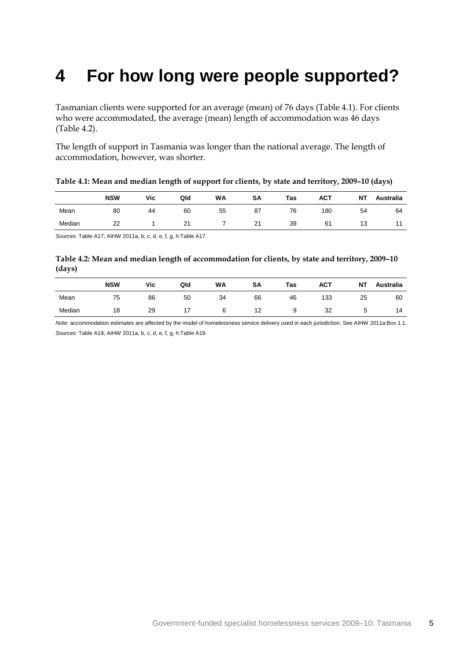### <span id="page-8-0"></span>**4 For how long were people supported?**

Tasmanian clients were supported for an average (mean) of 76 days (Table 4.1). For clients who were accommodated, the average (mean) length of accommodation was 46 days (Table 4.2).

The length of support in Tasmania was longer than the national average. The length of accommodation, however, was shorter.

<span id="page-8-1"></span>

| Table 4.1: Mean and median length of support for clients, by state and territory, 2009-10 (days) |  |  |
|--------------------------------------------------------------------------------------------------|--|--|
|                                                                                                  |  |  |

|        | <b>NSW</b> | Vic | Qld | <b>WA</b> | SΑ | Tas | <b>ACT</b> | <b>NT</b> | <b>Australia</b> |
|--------|------------|-----|-----|-----------|----|-----|------------|-----------|------------------|
| Mean   | 80         | 44  | 60  | 55        | 87 | 76  | 180        | 54        | 64               |
| Median | 22         |     | 21  |           | 21 | 39  | 61         | 13        | 44               |

<span id="page-8-2"></span>*Sources:* Table A17; AIHW 2011a, b, c, d, e, f, g, h:Table A17.

#### **Table 4.2: Mean and median length of accommodation for clients, by state and territory, 2009–10 (days)**

|        | <b>NSW</b> | Vic | Qld | <b>WA</b> | SΑ | <b>Tas</b> | <b>ACT</b> | <b>NT</b> | Australia |
|--------|------------|-----|-----|-----------|----|------------|------------|-----------|-----------|
| Mean   | 75         | 86  | 50  | 34        | 66 | 46         | 133        | 25        | 60        |
| Median | 18         | 29  |     |           | 12 |            | 32         | ़<br>ັ    | 14        |

*Note:* accommodation estimates are affected by the model of homelessness service delivery used in each jurisdiction. See AIHW 2011a:Box 1.1. *Sources:* Table A19; AIHW 2011a, b, c, d, e, f, g, h:Table A19.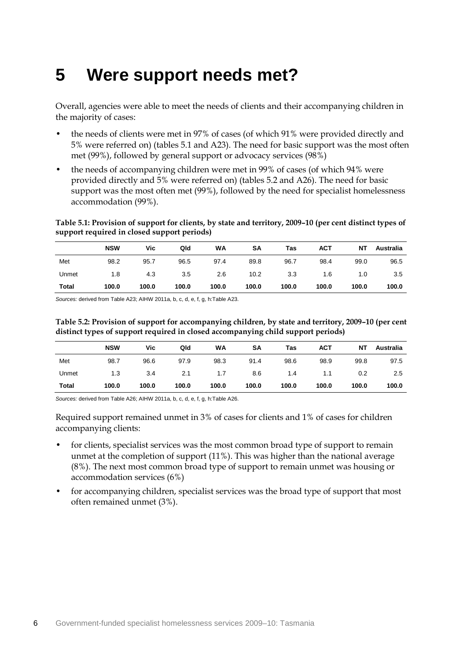### <span id="page-9-0"></span>**5 Were support needs met?**

Overall, agencies were able to meet the needs of clients and their accompanying children in the majority of cases:

- the needs of clients were met in 97% of cases (of which 91% were provided directly and 5% were referred on) (tables 5.1 and A23). The need for basic support was the most often met (99%), followed by general support or advocacy services (98%)
- the needs of accompanying children were met in 99% of cases (of which 94% were provided directly and 5% were referred on) (tables 5.2 and A26). The need for basic support was the most often met (99%), followed by the need for specialist homelessness accommodation (99%).

<span id="page-9-1"></span>**Table 5.1: Provision of support for clients, by state and territory, 2009–10 (per cent distinct types of support required in closed support periods)**

|       | <b>NSW</b> | Vic   | Qld   | WA    | SΑ    | Tas   | ACT   | NΤ    | Australia |
|-------|------------|-------|-------|-------|-------|-------|-------|-------|-----------|
| Met   | 98.2       | 95.7  | 96.5  | 97.4  | 89.8  | 96.7  | 98.4  | 99.0  | 96.5      |
| Unmet | 1.8        | 4.3   | 3.5   | 2.6   | 10.2  | 3.3   | 1.6   | 1.0   | 3.5       |
| Total | 100.0      | 100.0 | 100.0 | 100.0 | 100.0 | 100.0 | 100.0 | 100.0 | 100.0     |

<span id="page-9-2"></span>*Sources:* derived from Table A23; AIHW 2011a, b, c, d, e, f, g, h:Table A23.

**Table 5.2: Provision of support for accompanying children, by state and territory, 2009–10 (per cent distinct types of support required in closed accompanying child support periods)**

|              | <b>NSW</b> | Vic   | Qld   | WA    | SΑ    | Tas   | <b>ACT</b> | ΝT    | Australia |
|--------------|------------|-------|-------|-------|-------|-------|------------|-------|-----------|
| Met          | 98.7       | 96.6  | 97.9  | 98.3  | 91.4  | 98.6  | 98.9       | 99.8  | 97.5      |
| Unmet        | 1.3        | 3.4   | 2.1   | 1.7   | 8.6   | 1.4   | 1.1        | 0.2   | $2.5\,$   |
| <b>Total</b> | 100.0      | 100.0 | 100.0 | 100.0 | 100.0 | 100.0 | 100.0      | 100.0 | 100.0     |

*Sources:* derived from Table A26; AIHW 2011a, b, c, d, e, f, g, h:Table A26.

Required support remained unmet in 3% of cases for clients and 1% of cases for children accompanying clients:

- for clients, specialist services was the most common broad type of support to remain unmet at the completion of support (11%). This was higher than the national average (8%). The next most common broad type of support to remain unmet was housing or accommodation services (6%)
- for accompanying children, specialist services was the broad type of support that most often remained unmet (3%).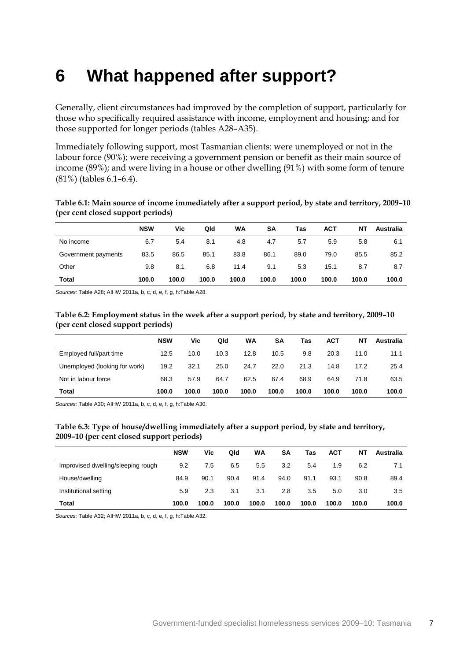### <span id="page-10-0"></span>**6 What happened after support?**

Generally, client circumstances had improved by the completion of support, particularly for those who specifically required assistance with income, employment and housing; and for those supported for longer periods (tables A28–A35).

Immediately following support, most Tasmanian clients: were unemployed or not in the labour force (90%); were receiving a government pension or benefit as their main source of income (89%); and were living in a house or other dwelling (91%) with some form of tenure (81%) (tables 6.1–6.4).

<span id="page-10-1"></span>

| Table 6.1: Main source of income immediately after a support period, by state and territory, 2009-10 |  |
|------------------------------------------------------------------------------------------------------|--|
| (per cent closed support periods)                                                                    |  |

|                     | <b>NSW</b> | Vic   | Qld   | WA    | SΑ    | Tas   | <b>ACT</b> | NΤ    | Australia |
|---------------------|------------|-------|-------|-------|-------|-------|------------|-------|-----------|
| No income           | 6.7        | 5.4   | 8.1   | 4.8   | 4.7   | 5.7   | 5.9        | 5.8   | 6.1       |
| Government payments | 83.5       | 86.5  | 85.1  | 83.8  | 86.1  | 89.0  | 79.0       | 85.5  | 85.2      |
| Other               | 9.8        | 8.1   | 6.8   | 11.4  | 9.1   | 5.3   | 15.1       | 8.7   | 8.7       |
| Total               | 100.0      | 100.0 | 100.0 | 100.0 | 100.0 | 100.0 | 100.0      | 100.0 | 100.0     |

<span id="page-10-2"></span>*Sources:* Table A28; AIHW 2011a, b, c, d, e, f, g, h:Table A28.

**Table 6.2: Employment status in the week after a support period, by state and territory, 2009–10 (per cent closed support periods)**

|                               | <b>NSW</b> | Vic   | Qld   | WA    | SΑ    | Tas   | <b>ACT</b> | NΤ    | Australia |
|-------------------------------|------------|-------|-------|-------|-------|-------|------------|-------|-----------|
| Employed full/part time       | 12.5       | 10.0  | 10.3  | 12.8  | 10.5  | 9.8   | 20.3       | 11.0  | 11.1      |
| Unemployed (looking for work) | 19.2       | 32.1  | 25.0  | 24.7  | 22.0  | 21.3  | 14.8       | 17.2  | 25.4      |
| Not in labour force           | 68.3       | 57.9  | 64.7  | 62.5  | 67.4  | 68.9  | 64.9       | 71.8  | 63.5      |
| Total                         | 100.0      | 100.0 | 100.0 | 100.0 | 100.0 | 100.0 | 100.0      | 100.0 | 100.0     |

<span id="page-10-3"></span>*Sources:* Table A30; AIHW 2011a, b, c, d, e, f, g, h:Table A30.

#### **Table 6.3: Type of house/dwelling immediately after a support period, by state and territory, 2009–10 (per cent closed support periods)**

|                                    | <b>NSW</b> | Vic   | Qld   | <b>WA</b>     | SΑ    | Tas     | <b>ACT</b> | NΤ    | Australia |
|------------------------------------|------------|-------|-------|---------------|-------|---------|------------|-------|-----------|
| Improvised dwelling/sleeping rough | 9.2        | 7.5   | 6.5   | $5.5^{\circ}$ | 3.2   | 5.4     | 1.9        | 6.2   | 7.1       |
| House/dwelling                     | 84.9       | 90.1  | 90.4  | 91.4          | 94.0  | 91.1    | 93.1       | 90.8  | 89.4      |
| Institutional setting              | 5.9        | 2.3   | 3.1   | 3.1           | 2.8   | $3.5\,$ | 5.0        | 3.0   | 3.5       |
| <b>Total</b>                       | 100.0      | 100.0 | 100.0 | 100.0         | 100.0 | 100.0   | 100.0      | 100.0 | 100.0     |

*Sources:* Table A32; AIHW 2011a, b, c, d, e, f, g, h:Table A32.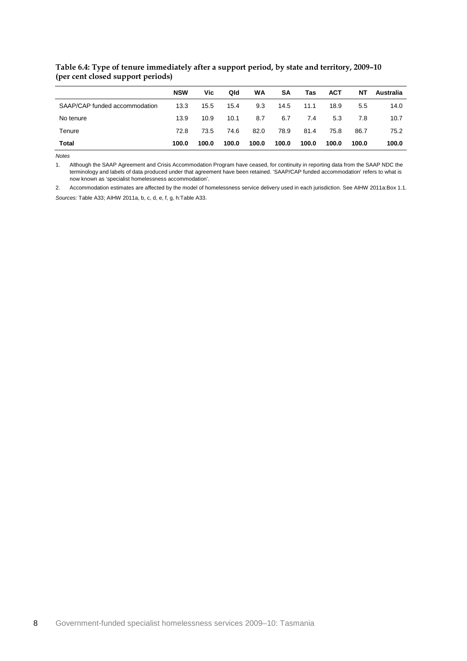|                               | <b>NSW</b> | Vic   | Qld   | WA    | <b>SA</b> | Tas   | <b>ACT</b> | NΤ    | Australia |
|-------------------------------|------------|-------|-------|-------|-----------|-------|------------|-------|-----------|
| SAAP/CAP funded accommodation | 13.3       | 15.5  | 15.4  | 9.3   | 14.5      | 11.1  | 18.9       | 5.5   | 14.0      |
| No tenure                     | 13.9       | 10.9  | 10.1  | 8.7   | 6.7       | 7.4   | 5.3        | 7.8   | 10.7      |
| Tenure                        | 72.8       | 73.5  | 74.6  | 82.0  | 78.9      | 81.4  | 75.8       | 86.7  | 75.2      |
| <b>Total</b>                  | 100.0      | 100.0 | 100.0 | 100.0 | 100.0     | 100.0 | 100.0      | 100.0 | 100.0     |

#### <span id="page-11-0"></span>**Table 6.4: Type of tenure immediately after a support period, by state and territory, 2009–10 (per cent closed support periods)**

*Notes*

1. Although the SAAP Agreement and Crisis Accommodation Program have ceased, for continuity in reporting data from the SAAP NDC the terminology and labels of data produced under that agreement have been retained. 'SAAP/CAP funded accommodation' refers to what is now known as 'specialist homelessness accommodation'.

2. Accommodation estimates are affected by the model of homelessness service delivery used in each jurisdiction. See AIHW 2011a:Box 1.1.

*Sources:* Table A33; AIHW 2011a, b, c, d, e, f, g, h:Table A33.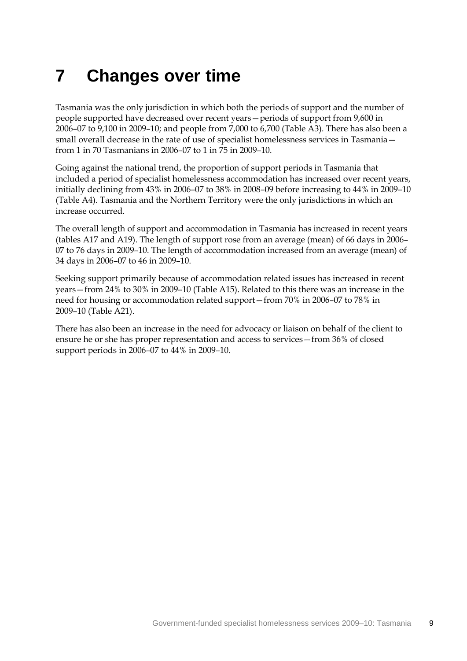# <span id="page-12-0"></span>**7 Changes over time**

Tasmania was the only jurisdiction in which both the periods of support and the number of people supported have decreased over recent years—periods of support from 9,600 in 2006–07 to 9,100 in 2009–10; and people from 7,000 to 6,700 (Table A3). There has also been a small overall decrease in the rate of use of specialist homelessness services in Tasmania from 1 in 70 Tasmanians in 2006–07 to 1 in 75 in 2009–10.

Going against the national trend, the proportion of support periods in Tasmania that included a period of specialist homelessness accommodation has increased over recent years, initially declining from 43% in 2006–07 to 38% in 2008–09 before increasing to 44% in 2009–10 (Table A4). Tasmania and the Northern Territory were the only jurisdictions in which an increase occurred.

The overall length of support and accommodation in Tasmania has increased in recent years (tables A17 and A19). The length of support rose from an average (mean) of 66 days in 2006– 07 to 76 days in 2009–10. The length of accommodation increased from an average (mean) of 34 days in 2006–07 to 46 in 2009–10.

Seeking support primarily because of accommodation related issues has increased in recent years—from 24% to 30% in 2009–10 (Table A15). Related to this there was an increase in the need for housing or accommodation related support—from 70% in 2006–07 to 78% in 2009–10 (Table A21).

There has also been an increase in the need for advocacy or liaison on behalf of the client to ensure he or she has proper representation and access to services—from 36% of closed support periods in 2006–07 to 44% in 2009–10.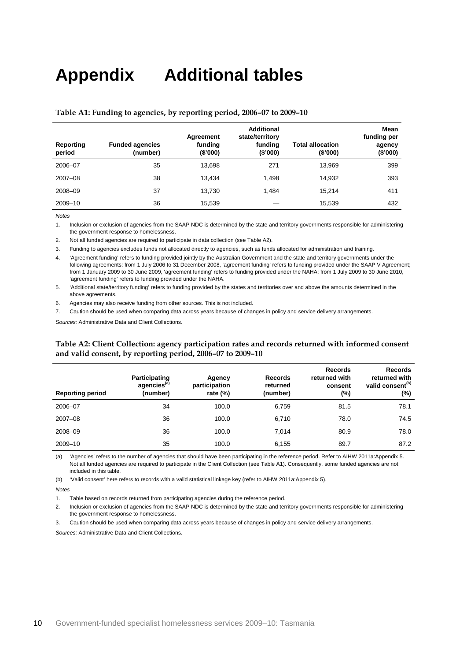## <span id="page-13-0"></span>**Appendix Additional tables**

| Reporting<br>period | <b>Funded agencies</b><br>(number) | Agreement<br>funding<br>(\$'000) | <b>Additional</b><br>state/territory<br>funding<br>(\$'000) | <b>Total allocation</b><br>(\$'000) | Mean<br>funding per<br>agency<br>(\$'000) |
|---------------------|------------------------------------|----------------------------------|-------------------------------------------------------------|-------------------------------------|-------------------------------------------|
| 2006-07             | 35                                 | 13,698                           | 271                                                         | 13.969                              | 399                                       |
| $2007 - 08$         | 38                                 | 13.434                           | 1.498                                                       | 14.932                              | 393                                       |
| 2008-09             | 37                                 | 13.730                           | 1.484                                                       | 15.214                              | 411                                       |
| 2009-10             | 36                                 | 15,539                           |                                                             | 15,539                              | 432                                       |

#### <span id="page-13-1"></span>**Table A1: Funding to agencies, by reporting period, 2006–07 to 2009–10**

*Notes*

1. Inclusion or exclusion of agencies from the SAAP NDC is determined by the state and territory governments responsible for administering the government response to homelessness.

2. Not all funded agencies are required to participate in data collection (see Table A2).

3. Funding to agencies excludes funds not allocated directly to agencies, such as funds allocated for administration and training.

4. 'Agreement funding' refers to funding provided jointly by the Australian Government and the state and territory governments under the following agreements: from 1 July 2006 to 31 December 2008, 'agreement funding' refers to funding provided under the SAAP V Agreement; from 1 January 2009 to 30 June 2009, 'agreement funding' refers to funding provided under the NAHA; from 1 July 2009 to 30 June 2010, 'agreement funding' refers to funding provided under the NAHA.

5. 'Additional state/territory funding' refers to funding provided by the states and territories over and above the amounts determined in the above agreements

6. Agencies may also receive funding from other sources. This is not included.

7. Caution should be used when comparing data across years because of changes in policy and service delivery arrangements.

<span id="page-13-2"></span>*Sources:* Administrative Data and Client Collections.

#### **Table A2: Client Collection: agency participation rates and records returned with informed consent and valid consent, by reporting period, 2006–07 to 2009–10**

| <b>Reporting period</b> | Participating<br>agencies <sup>(a)</sup><br>(number) | Agency<br>participation<br>rate $(\%)$ | Records<br>returned<br>(number) | <b>Records</b><br>returned with<br>consent<br>(%) | <b>Records</b><br>returned with<br>valid consent <sup>(b)</sup><br>(%) |
|-------------------------|------------------------------------------------------|----------------------------------------|---------------------------------|---------------------------------------------------|------------------------------------------------------------------------|
| 2006-07                 | 34                                                   | 100.0                                  | 6,759                           | 81.5                                              | 78.1                                                                   |
| 2007-08                 | 36                                                   | 100.0                                  | 6,710                           | 78.0                                              | 74.5                                                                   |
| 2008-09                 | 36                                                   | 100.0                                  | 7.014                           | 80.9                                              | 78.0                                                                   |
| 2009-10                 | 35                                                   | 100.0                                  | 6,155                           | 89.7                                              | 87.2                                                                   |

(a) 'Agencies' refers to the number of agencies that should have been participating in the reference period. Refer to AIHW 2011a:Appendix 5. Not all funded agencies are required to participate in the Client Collection (see Table A1). Consequently, some funded agencies are not included in this table.

(b) 'Valid consent' here refers to records with a valid statistical linkage key (refer to AIHW 2011a:Appendix 5).

*Notes*

1. Table based on records returned from participating agencies during the reference period.

2. Inclusion or exclusion of agencies from the SAAP NDC is determined by the state and territory governments responsible for administering the government response to homelessness.

3. Caution should be used when comparing data across years because of changes in policy and service delivery arrangements.

*Sources:* Administrative Data and Client Collections.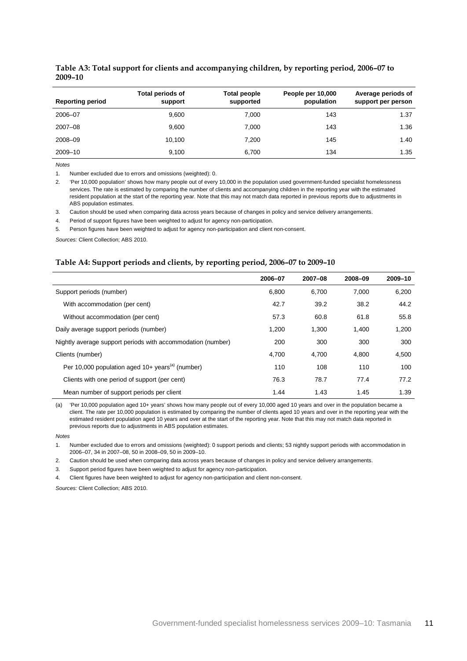| <b>Reporting period</b> | <b>Total periods of</b><br>support | Total people<br>supported | People per 10,000<br>population | Average periods of<br>support per person |
|-------------------------|------------------------------------|---------------------------|---------------------------------|------------------------------------------|
| 2006-07                 | 9.600                              | 7,000                     | 143                             | 1.37                                     |
| $2007 - 08$             | 9.600                              | 7.000                     | 143                             | 1.36                                     |
| 2008-09                 | 10.100                             | 7,200                     | 145                             | 1.40                                     |
| 2009-10                 | 9,100                              | 6.700                     | 134                             | 1.35                                     |

#### <span id="page-14-0"></span>**Table A3: Total support for clients and accompanying children, by reporting period, 2006–07 to 2009–10**

*Notes*

1. Number excluded due to errors and omissions (weighted): 0.

2. 'Per 10,000 population' shows how many people out of every 10,000 in the population used government-funded specialist homelessness services. The rate is estimated by comparing the number of clients and accompanying children in the reporting year with the estimated resident population at the start of the reporting year. Note that this may not match data reported in previous reports due to adjustments in ABS population estimates.

3. Caution should be used when comparing data across years because of changes in policy and service delivery arrangements.

4. Period of support figures have been weighted to adjust for agency non-participation.

5. Person figures have been weighted to adjust for agency non-participation and client non-consent.

<span id="page-14-1"></span>*Sources:* Client Collection; ABS 2010.

#### **Table A4: Support periods and clients, by reporting period, 2006–07 to 2009–10**

|                                                                | 2006-07 | 2007-08 | 2008-09 | 2009-10 |
|----------------------------------------------------------------|---------|---------|---------|---------|
| Support periods (number)                                       | 6,800   | 6,700   | 7.000   | 6,200   |
| With accommodation (per cent)                                  | 42.7    | 39.2    | 38.2    | 44.2    |
| Without accommodation (per cent)                               | 57.3    | 60.8    | 61.8    | 55.8    |
| Daily average support periods (number)                         | 1.200   | 1.300   | 1.400   | 1,200   |
| Nightly average support periods with accommodation (number)    | 200     | 300     | 300     | 300     |
| Clients (number)                                               | 4,700   | 4,700   | 4,800   | 4,500   |
| Per 10,000 population aged $10+$ years <sup>(a)</sup> (number) | 110     | 108     | 110     | 100     |
| Clients with one period of support (per cent)                  | 76.3    | 78.7    | 77.4    | 77.2    |
| Mean number of support periods per client                      | 1.44    | 1.43    | 1.45    | 1.39    |

(a) 'Per 10,000 population aged 10+ years' shows how many people out of every 10,000 aged 10 years and over in the population became a client. The rate per 10,000 population is estimated by comparing the number of clients aged 10 years and over in the reporting year with the estimated resident population aged 10 years and over at the start of the reporting year. Note that this may not match data reported in previous reports due to adjustments in ABS population estimates.

#### *Notes*

1. Number excluded due to errors and omissions (weighted): 0 support periods and clients; 53 nightly support periods with accommodation in 2006–07, 34 in 2007–08, 50 in 2008–09, 50 in 2009–10.

2. Caution should be used when comparing data across years because of changes in policy and service delivery arrangements.

3. Support period figures have been weighted to adjust for agency non-participation.

4. Client figures have been weighted to adjust for agency non-participation and client non-consent.

*Sources:* Client Collection; ABS 2010.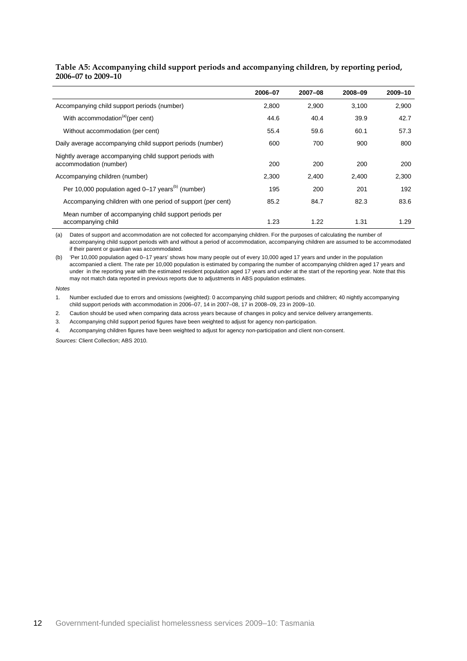#### <span id="page-15-0"></span>**Table A5: Accompanying child support periods and accompanying children, by reporting period, 2006–07 to 2009–10**

|                                                                                   | 2006-07 | 2007-08 | 2008-09 | 2009-10 |
|-----------------------------------------------------------------------------------|---------|---------|---------|---------|
| Accompanying child support periods (number)                                       | 2,800   | 2,900   | 3,100   | 2,900   |
| With accommodation <sup>(a)</sup> (per cent)                                      | 44.6    | 40.4    | 39.9    | 42.7    |
| Without accommodation (per cent)                                                  | 55.4    | 59.6    | 60.1    | 57.3    |
| Daily average accompanying child support periods (number)                         | 600     | 700     | 900     | 800     |
| Nightly average accompanying child support periods with<br>accommodation (number) | 200     | 200     | 200     | 200     |
| Accompanying children (number)                                                    | 2,300   | 2,400   | 2,400   | 2,300   |
| Per 10,000 population aged 0–17 years <sup>(b)</sup> (number)                     | 195     | 200     | 201     | 192     |
| Accompanying children with one period of support (per cent)                       | 85.2    | 84.7    | 82.3    | 83.6    |
| Mean number of accompanying child support periods per<br>accompanying child       | 1.23    | 1.22    | 1.31    | 1.29    |

(a) Dates of support and accommodation are not collected for accompanying children. For the purposes of calculating the number of accompanying child support periods with and without a period of accommodation, accompanying children are assumed to be accommodated if their parent or guardian was accommodated.

(b) 'Per 10,000 population aged 0–17 years' shows how many people out of every 10,000 aged 17 years and under in the population accompanied a client. The rate per 10,000 population is estimated by comparing the number of accompanying children aged 17 years and under in the reporting year with the estimated resident population aged 17 years and under at the start of the reporting year. Note that this may not match data reported in previous reports due to adjustments in ABS population estimates.

*Notes*

1. Number excluded due to errors and omissions (weighted): 0 accompanying child support periods and children; 40 nightly accompanying child support periods with accommodation in 2006–07, 14 in 2007–08, 17 in 2008–09, 23 in 2009–10.

2. Caution should be used when comparing data across years because of changes in policy and service delivery arrangements.

3. Accompanying child support period figures have been weighted to adjust for agency non-participation.

4. Accompanying children figures have been weighted to adjust for agency non-participation and client non-consent.

*Sources:* Client Collection; ABS 2010.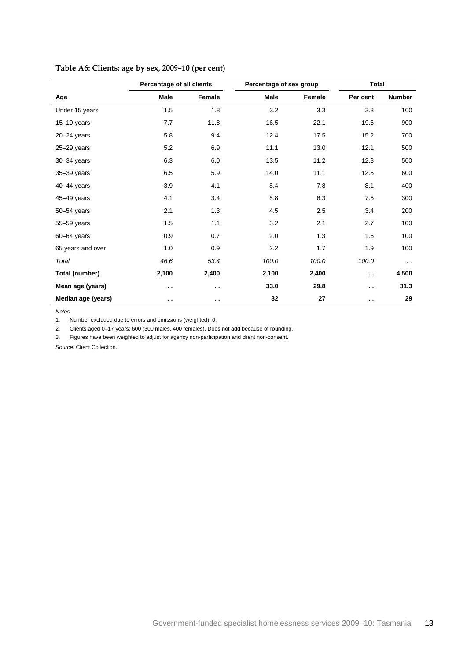|                    | Percentage of all clients |                      | Percentage of sex group |        | <b>Total</b>         |               |
|--------------------|---------------------------|----------------------|-------------------------|--------|----------------------|---------------|
| Age                | Male                      | Female               | Male                    | Female | Per cent             | <b>Number</b> |
| Under 15 years     | 1.5                       | 1.8                  | 3.2                     | 3.3    | 3.3                  | 100           |
| $15-19$ years      | 7.7                       | 11.8                 | 16.5                    | 22.1   | 19.5                 | 900           |
| $20 - 24$ years    | 5.8                       | 9.4                  | 12.4                    | 17.5   | 15.2                 | 700           |
| $25 - 29$ years    | 5.2                       | 6.9                  | 11.1                    | 13.0   | 12.1                 | 500           |
| $30 - 34$ years    | 6.3                       | 6.0                  | 13.5                    | 11.2   | 12.3                 | 500           |
| $35 - 39$ years    | 6.5                       | 5.9                  | 14.0                    | 11.1   | 12.5                 | 600           |
| 40-44 years        | 3.9                       | 4.1                  | 8.4                     | 7.8    | 8.1                  | 400           |
| 45-49 years        | 4.1                       | 3.4                  | 8.8                     | 6.3    | 7.5                  | 300           |
| $50 - 54$ years    | 2.1                       | 1.3                  | 4.5                     | 2.5    | 3.4                  | 200           |
| 55-59 years        | 1.5                       | 1.1                  | 3.2                     | 2.1    | 2.7                  | 100           |
| $60 - 64$ years    | 0.9                       | 0.7                  | 2.0                     | 1.3    | 1.6                  | 100           |
| 65 years and over  | 1.0                       | 0.9                  | 2.2                     | 1.7    | 1.9                  | 100           |
| Total              | 46.6                      | 53.4                 | 100.0                   | 100.0  | 100.0                | $\sim$        |
| Total (number)     | 2,100                     | 2,400                | 2,100                   | 2,400  | $\ddot{\phantom{a}}$ | 4,500         |
| Mean age (years)   | $\ddot{\phantom{1}}$      | $\sim$               | 33.0                    | 29.8   | $\sim$               | 31.3          |
| Median age (years) | $\ddot{\phantom{1}}$      | $\ddot{\phantom{1}}$ | 32                      | 27     | $\sim$               | 29            |

### <span id="page-16-0"></span>**Table A6: Clients: age by sex, 2009–10 (per cent)**

*Notes*

1. Number excluded due to errors and omissions (weighted): 0.

2. Clients aged 0–17 years: 600 (300 males, 400 females). Does not add because of rounding.

3. Figures have been weighted to adjust for agency non-participation and client non-consent.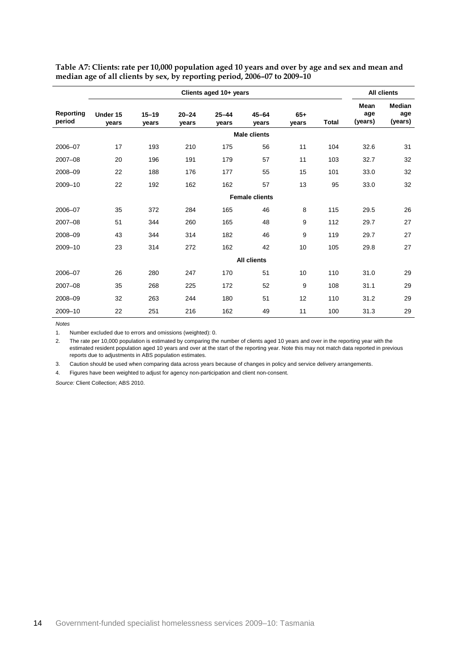|                     | Clients aged 10+ years |                    |                    |                    |                       | <b>All clients</b> |              |                               |                                 |
|---------------------|------------------------|--------------------|--------------------|--------------------|-----------------------|--------------------|--------------|-------------------------------|---------------------------------|
| Reporting<br>period | Under 15<br>vears      | $15 - 19$<br>years | $20 - 24$<br>years | $25 - 44$<br>years | $45 - 64$<br>years    | $65+$<br>years     | <b>Total</b> | <b>Mean</b><br>age<br>(years) | <b>Median</b><br>age<br>(years) |
|                     |                        |                    |                    |                    | <b>Male clients</b>   |                    |              |                               |                                 |
| 2006-07             | 17                     | 193                | 210                | 175                | 56                    | 11                 | 104          | 32.6                          | 31                              |
| 2007-08             | 20                     | 196                | 191                | 179                | 57                    | 11                 | 103          | 32.7                          | 32                              |
| 2008-09             | 22                     | 188                | 176                | 177                | 55                    | 15                 | 101          | 33.0                          | 32                              |
| 2009-10             | 22                     | 192                | 162                | 162                | 57                    | 13                 | 95           | 33.0                          | 32                              |
|                     |                        |                    |                    |                    | <b>Female clients</b> |                    |              |                               |                                 |
| 2006-07             | 35                     | 372                | 284                | 165                | 46                    | 8                  | 115          | 29.5                          | 26                              |
| 2007-08             | 51                     | 344                | 260                | 165                | 48                    | 9                  | 112          | 29.7                          | 27                              |
| 2008-09             | 43                     | 344                | 314                | 182                | 46                    | 9                  | 119          | 29.7                          | 27                              |
| 2009-10             | 23                     | 314                | 272                | 162                | 42                    | 10                 | 105          | 29.8                          | 27                              |
|                     |                        |                    |                    |                    | <b>All clients</b>    |                    |              |                               |                                 |
| 2006-07             | 26                     | 280                | 247                | 170                | 51                    | 10                 | 110          | 31.0                          | 29                              |
| 2007-08             | 35                     | 268                | 225                | 172                | 52                    | 9                  | 108          | 31.1                          | 29                              |
| 2008-09             | 32                     | 263                | 244                | 180                | 51                    | 12                 | 110          | 31.2                          | 29                              |
| 2009-10             | 22                     | 251                | 216                | 162                | 49                    | 11                 | 100          | 31.3                          | 29                              |

<span id="page-17-0"></span>**Table A7: Clients: rate per 10,000 population aged 10 years and over by age and sex and mean and median age of all clients by sex, by reporting period, 2006–07 to 2009–10**

*Notes*

1. Number excluded due to errors and omissions (weighted): 0.

2. The rate per 10,000 population is estimated by comparing the number of clients aged 10 years and over in the reporting year with the estimated resident population aged 10 years and over at the start of the reporting year. Note this may not match data reported in previous reports due to adjustments in ABS population estimates.

3. Caution should be used when comparing data across years because of changes in policy and service delivery arrangements.

4. Figures have been weighted to adjust for agency non-participation and client non-consent.

*Source:* Client Collection; ABS 2010.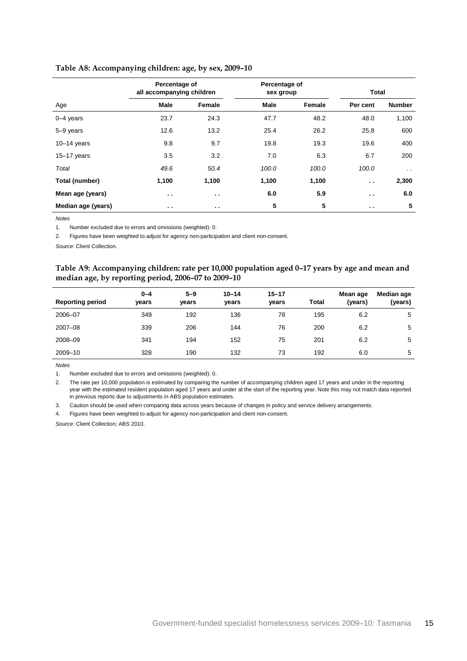|                    | Percentage of<br>all accompanying children |               | Percentage of<br>sex group |        | <b>Total</b>  |                      |
|--------------------|--------------------------------------------|---------------|----------------------------|--------|---------------|----------------------|
| Age                | <b>Male</b>                                | Female        | <b>Male</b>                | Female | Per cent      | <b>Number</b>        |
| $0 - 4$ years      | 23.7                                       | 24.3          | 47.7                       | 48.2   | 48.0          | 1,100                |
| 5-9 years          | 12.6                                       | 13.2          | 25.4                       | 26.2   | 25.8          | 600                  |
| $10-14$ years      | 9.8                                        | 9.7           | 19.8                       | 19.3   | 19.6          | 400                  |
| $15-17$ years      | 3.5                                        | 3.2           | 7.0                        | 6.3    | 6.7           | 200                  |
| Total              | 49.6                                       | 50.4          | 100.0                      | 100.0  | 100.0         | $\ddot{\phantom{0}}$ |
| Total (number)     | 1,100                                      | 1,100         | 1,100                      | 1,100  | $\sim$ $\sim$ | 2,300                |
| Mean age (years)   | $\sim$ $\sim$                              | $\sim$ $\sim$ | 6.0                        | 5.9    | $\sim$ $\sim$ | 6.0                  |
| Median age (years) | $\sim$ $\sim$                              | $\sim$ $\sim$ | 5                          | 5      | $\sim$ $\sim$ | 5                    |

#### <span id="page-18-0"></span>**Table A8: Accompanying children: age, by sex, 2009–10**

*Notes*

1. Number excluded due to errors and omissions (weighted): 0.

2. Figures have been weighted to adjust for agency non-participation and client non-consent.

<span id="page-18-1"></span>*Source:* Client Collection.

#### **Table A9: Accompanying children: rate per 10,000 population aged 0–17 years by age and mean and median age, by reporting period, 2006–07 to 2009–10**

| <b>Reporting period</b> | $0 - 4$<br>years | $5 - 9$<br>vears | $10 - 14$<br>years | $15 - 17$<br>vears | <b>Total</b> | Mean age<br>(years) | Median age<br>(years) |
|-------------------------|------------------|------------------|--------------------|--------------------|--------------|---------------------|-----------------------|
| 2006-07                 | 349              | 192              | 136                | 78                 | 195          | 6.2                 | 5                     |
| 2007-08                 | 339              | 206              | 144                | 76                 | 200          | 6.2                 | 5                     |
| 2008-09                 | 341              | 194              | 152                | 75                 | 201          | 6.2                 | 5                     |
| 2009-10                 | 328              | 190              | 132                | 73                 | 192          | 6.0                 | 5                     |

*Notes*

1. Number excluded due to errors and omissions (weighted): 0.

2. The rate per 10,000 population is estimated by comparing the number of accompanying children aged 17 years and under in the reporting year with the estimated resident population aged 17 years and under at the start of the reporting year. Note this may not match data reported in previous reports due to adjustments in ABS population estimates.

3. Caution should be used when comparing data across years because of changes in policy and service delivery arrangements.

4. Figures have been weighted to adjust for agency non-participation and client non-consent.

*Source:* Client Collection; ABS 2010.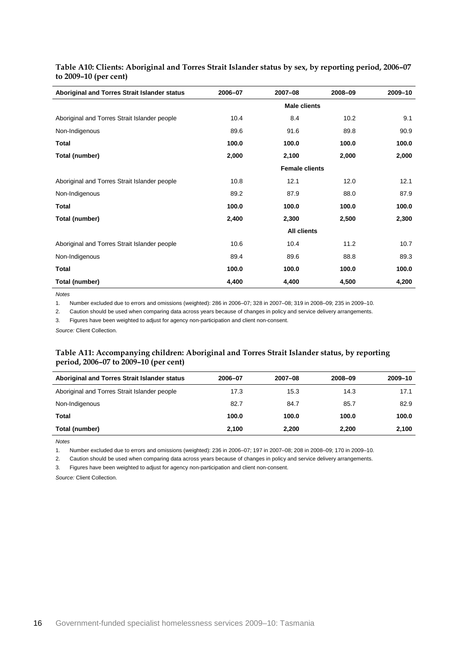| Aboriginal and Torres Strait Islander status | 2006-07             | 2007-08               | 2008-09 | 2009-10 |  |  |
|----------------------------------------------|---------------------|-----------------------|---------|---------|--|--|
|                                              | <b>Male clients</b> |                       |         |         |  |  |
| Aboriginal and Torres Strait Islander people | 10.4                | 8.4                   | 10.2    | 9.1     |  |  |
| Non-Indigenous                               | 89.6                | 91.6                  | 89.8    | 90.9    |  |  |
| <b>Total</b>                                 | 100.0               | 100.0                 | 100.0   | 100.0   |  |  |
| Total (number)                               | 2,000               | 2,100                 | 2,000   | 2,000   |  |  |
|                                              |                     | <b>Female clients</b> |         |         |  |  |
| Aboriginal and Torres Strait Islander people | 10.8                | 12.1                  | 12.0    | 12.1    |  |  |
| Non-Indigenous                               | 89.2                | 87.9                  | 88.0    | 87.9    |  |  |
| <b>Total</b>                                 | 100.0               | 100.0                 | 100.0   | 100.0   |  |  |
| Total (number)                               | 2,400               | 2,300                 | 2,500   | 2,300   |  |  |
|                                              |                     | <b>All clients</b>    |         |         |  |  |
| Aboriginal and Torres Strait Islander people | 10.6                | 10.4                  | 11.2    | 10.7    |  |  |
| Non-Indigenous                               | 89.4                | 89.6                  | 88.8    | 89.3    |  |  |
| Total                                        | 100.0               | 100.0                 | 100.0   | 100.0   |  |  |
| Total (number)                               | 4,400               | 4,400                 | 4,500   | 4,200   |  |  |

<span id="page-19-0"></span>**Table A10: Clients: Aboriginal and Torres Strait Islander status by sex, by reporting period, 2006–07 to 2009–10 (per cent)**

*Notes*

l,

1. Number excluded due to errors and omissions (weighted): 286 in 2006–07; 328 in 2007–08; 319 in 2008–09; 235 in 2009–10.

2. Caution should be used when comparing data across years because of changes in policy and service delivery arrangements.

3. Figures have been weighted to adjust for agency non-participation and client non-consent.

<span id="page-19-1"></span>*Source:* Client Collection.

#### **Table A11: Accompanying children: Aboriginal and Torres Strait Islander status, by reporting period, 2006–07 to 2009–10 (per cent)**

| Aboriginal and Torres Strait Islander status | 2006-07 | 2007-08 | 2008-09 | 2009-10 |
|----------------------------------------------|---------|---------|---------|---------|
| Aboriginal and Torres Strait Islander people | 17.3    | 15.3    | 14.3    | 17.1    |
| Non-Indigenous                               | 82.7    | 84.7    | 85.7    | 82.9    |
| Total                                        | 100.0   | 100.0   | 100.0   | 100.0   |
| Total (number)                               | 2,100   | 2,200   | 2,200   | 2,100   |

*Notes*

1. Number excluded due to errors and omissions (weighted): 236 in 2006–07; 197 in 2007–08; 208 in 2008–09; 170 in 2009–10.

2. Caution should be used when comparing data across years because of changes in policy and service delivery arrangements.

3. Figures have been weighted to adjust for agency non-participation and client non-consent.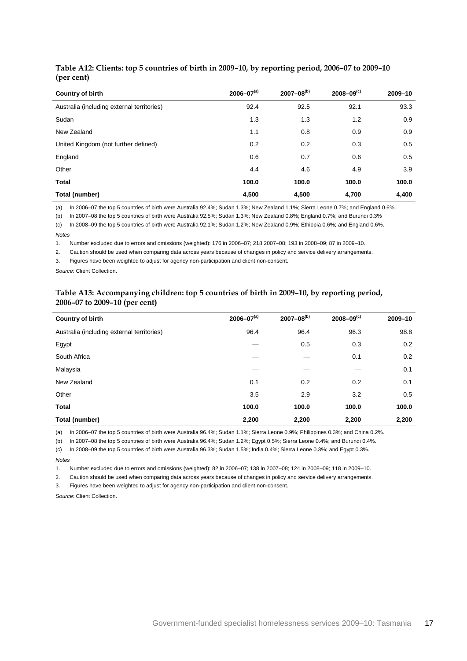| <b>Country of birth</b>                    | $2006 - 07^{(a)}$ | $2007 - 08^{(b)}$ | $2008 - 09^{(c)}$ | 2009-10 |
|--------------------------------------------|-------------------|-------------------|-------------------|---------|
| Australia (including external territories) | 92.4              | 92.5              | 92.1              | 93.3    |
| Sudan                                      | 1.3               | 1.3               | 1.2               | 0.9     |
| New Zealand                                | 1.1               | 0.8               | 0.9               | 0.9     |
| United Kingdom (not further defined)       | 0.2               | 0.2               | 0.3               | 0.5     |
| England                                    | 0.6               | 0.7               | 0.6               | 0.5     |
| Other                                      | 4.4               | 4.6               | 4.9               | 3.9     |
| <b>Total</b>                               | 100.0             | 100.0             | 100.0             | 100.0   |
| Total (number)                             | 4,500             | 4,500             | 4,700             | 4,400   |

#### <span id="page-20-0"></span>**Table A12: Clients: top 5 countries of birth in 2009–10, by reporting period, 2006–07 to 2009–10 (per cent)**

(a) In 2006–07 the top 5 countries of birth were Australia 92.4%; Sudan 1.3%; New Zealand 1.1%; Sierra Leone 0.7%; and England 0.6%.

(b) In 2007–08 the top 5 countries of birth were Australia 92.5%; Sudan 1.3%; New Zealand 0.8%; England 0.7%; and Burundi 0.3%

(c) In 2008–09 the top 5 countries of birth were Australia 92.1%; Sudan 1.2%; New Zealand 0.9%; Ethiopia 0.6%; and England 0.6%.

*Notes*

1. Number excluded due to errors and omissions (weighted): 176 in 2006–07; 218 2007–08; 193 in 2008–09; 87 in 2009–10.

2. Caution should be used when comparing data across years because of changes in policy and service delivery arrangements.

3. Figures have been weighted to adjust for agency non-participation and client non-consent.

<span id="page-20-1"></span>*Source:* Client Collection.

#### **Table A13: Accompanying children: top 5 countries of birth in 2009–10, by reporting period, 2006–07 to 2009–10 (per cent)**

| Country of birth                           | $2006 - 07^{(a)}$ | $2007 - 08^{(b)}$ | $2008 - 09^{(c)}$ | 2009-10 |
|--------------------------------------------|-------------------|-------------------|-------------------|---------|
| Australia (including external territories) | 96.4              | 96.4              | 96.3              | 98.8    |
| Egypt                                      |                   | 0.5               | 0.3               | 0.2     |
| South Africa                               |                   |                   | 0.1               | 0.2     |
| Malaysia                                   |                   |                   |                   | 0.1     |
| New Zealand                                | 0.1               | 0.2               | 0.2               | 0.1     |
| Other                                      | 3.5               | 2.9               | 3.2               | 0.5     |
| <b>Total</b>                               | 100.0             | 100.0             | 100.0             | 100.0   |
| Total (number)                             | 2,200             | 2,200             | 2,200             | 2,200   |

(a) In 2006–07 the top 5 countries of birth were Australia 96.4%; Sudan 1.1%; Sierra Leone 0.9%; Philippines 0.3%; and China 0.2%.

(b) In 2007–08 the top 5 countries of birth were Australia 96.4%; Sudan 1.2%; Egypt 0.5%; Sierra Leone 0.4%; and Burundi 0.4%.

(c) In 2008–09 the top 5 countries of birth were Australia 96.3%; Sudan 1.5%; India 0.4%; Sierra Leone 0.3%; and Egypt 0.3%.

*Notes*

1. Number excluded due to errors and omissions (weighted): 82 in 2006–07; 138 in 2007–08; 124 in 2008–09; 118 in 2009–10.

2. Caution should be used when comparing data across years because of changes in policy and service delivery arrangements.

3. Figures have been weighted to adjust for agency non-participation and client non-consent.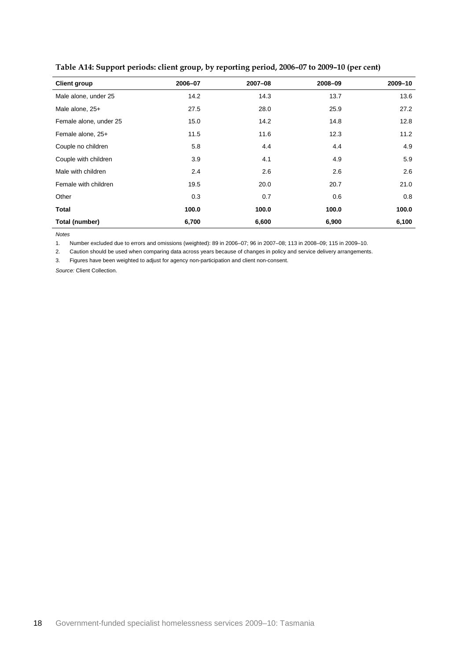| <b>Client group</b>    | 2006-07 | 2007-08 | 2008-09 | 2009-10 |
|------------------------|---------|---------|---------|---------|
| Male alone, under 25   | 14.2    | 14.3    | 13.7    | 13.6    |
| Male alone, 25+        | 27.5    | 28.0    | 25.9    | 27.2    |
| Female alone, under 25 | 15.0    | 14.2    | 14.8    | 12.8    |
| Female alone, 25+      | 11.5    | 11.6    | 12.3    | 11.2    |
| Couple no children     | 5.8     | 4.4     | 4.4     | 4.9     |
| Couple with children   | 3.9     | 4.1     | 4.9     | 5.9     |
| Male with children     | 2.4     | 2.6     | 2.6     | 2.6     |
| Female with children   | 19.5    | 20.0    | 20.7    | 21.0    |
| Other                  | 0.3     | 0.7     | 0.6     | 0.8     |
| Total                  | 100.0   | 100.0   | 100.0   | 100.0   |
| Total (number)         | 6,700   | 6,600   | 6,900   | 6,100   |

<span id="page-21-0"></span>**Table A14: Support periods: client group, by reporting period, 2006–07 to 2009–10 (per cent)**

*Notes*

1. Number excluded due to errors and omissions (weighted): 89 in 2006–07; 96 in 2007–08; 113 in 2008–09; 115 in 2009–10.

2. Caution should be used when comparing data across years because of changes in policy and service delivery arrangements.

3. Figures have been weighted to adjust for agency non-participation and client non-consent.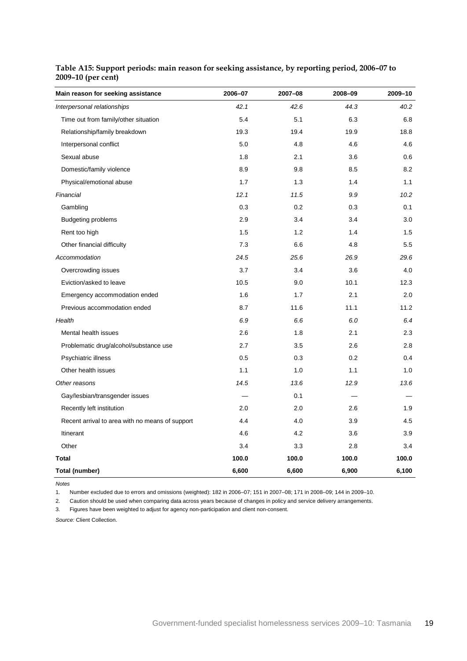| Main reason for seeking assistance              | 2006-07 | 2007-08 | 2008-09 | 2009-10 |
|-------------------------------------------------|---------|---------|---------|---------|
| Interpersonal relationships                     | 42.1    | 42.6    | 44.3    | 40.2    |
| Time out from family/other situation            | 5.4     | 5.1     | 6.3     | 6.8     |
| Relationship/family breakdown                   | 19.3    | 19.4    | 19.9    | 18.8    |
| Interpersonal conflict                          | 5.0     | 4.8     | 4.6     | 4.6     |
| Sexual abuse                                    | 1.8     | 2.1     | 3.6     | 0.6     |
| Domestic/family violence                        | 8.9     | 9.8     | 8.5     | 8.2     |
| Physical/emotional abuse                        | 1.7     | 1.3     | 1.4     | 1.1     |
| Financial                                       | 12.1    | 11.5    | 9.9     | 10.2    |
| Gambling                                        | 0.3     | 0.2     | 0.3     | 0.1     |
| <b>Budgeting problems</b>                       | 2.9     | 3.4     | 3.4     | 3.0     |
| Rent too high                                   | 1.5     | 1.2     | 1.4     | 1.5     |
| Other financial difficulty                      | 7.3     | 6.6     | 4.8     | 5.5     |
| Accommodation                                   | 24.5    | 25.6    | 26.9    | 29.6    |
| Overcrowding issues                             | 3.7     | 3.4     | 3.6     | 4.0     |
| Eviction/asked to leave                         | 10.5    | 9.0     | 10.1    | 12.3    |
| Emergency accommodation ended                   | 1.6     | 1.7     | 2.1     | 2.0     |
| Previous accommodation ended                    | 8.7     | 11.6    | 11.1    | 11.2    |
| Health                                          | 6.9     | 6.6     | 6.0     | 6.4     |
| Mental health issues                            | 2.6     | 1.8     | 2.1     | 2.3     |
| Problematic drug/alcohol/substance use          | 2.7     | 3.5     | 2.6     | 2.8     |
| Psychiatric illness                             | 0.5     | 0.3     | 0.2     | 0.4     |
| Other health issues                             | 1.1     | 1.0     | 1.1     | 1.0     |
| Other reasons                                   | 14.5    | 13.6    | 12.9    | 13.6    |
| Gay/lesbian/transgender issues                  |         | 0.1     |         |         |
| Recently left institution                       | 2.0     | 2.0     | 2.6     | 1.9     |
| Recent arrival to area with no means of support | 4.4     | 4.0     | 3.9     | 4.5     |
| Itinerant                                       | 4.6     | 4.2     | 3.6     | 3.9     |
| Other                                           | 3.4     | 3.3     | 2.8     | 3.4     |
| Total                                           | 100.0   | 100.0   | 100.0   | 100.0   |
| Total (number)                                  | 6,600   | 6,600   | 6,900   | 6,100   |

### <span id="page-22-0"></span>**Table A15: Support periods: main reason for seeking assistance, by reporting period, 2006–07 to 2009–10 (per cent)**

*Notes*

1. Number excluded due to errors and omissions (weighted): 182 in 2006–07; 151 in 2007–08; 171 in 2008–09; 144 in 2009–10.

2. Caution should be used when comparing data across years because of changes in policy and service delivery arrangements.

3. Figures have been weighted to adjust for agency non-participation and client non-consent.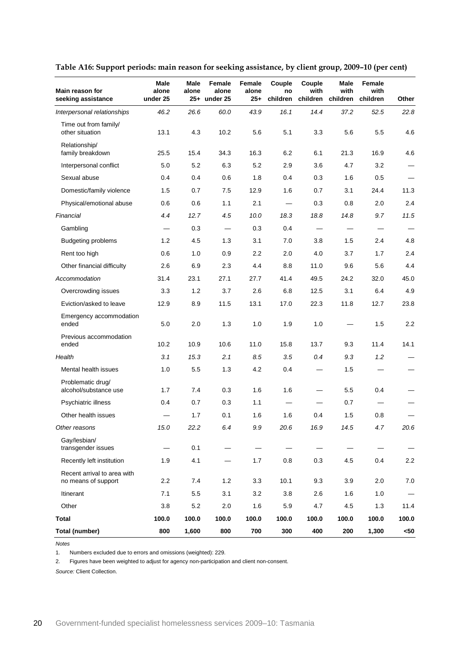| Main reason for<br>seeking assistance              | Male<br>alone<br>under 25 | Male<br>alone | Female<br>alone<br>25+ under 25 | Female<br>alone<br>$25+$ | Couple<br>no<br>children | Couple<br>with<br>children | Male<br>with<br>children       | Female<br>with<br>children | Other |
|----------------------------------------------------|---------------------------|---------------|---------------------------------|--------------------------|--------------------------|----------------------------|--------------------------------|----------------------------|-------|
| Interpersonal relationships                        | 46.2                      | 26.6          | 60.0                            | 43.9                     | 16.1                     | 14.4                       | 37.2                           | 52.5                       | 22.8  |
| Time out from family/<br>other situation           | 13.1                      | 4.3           | 10.2                            | 5.6                      | 5.1                      | 3.3                        | 5.6                            | 5.5                        | 4.6   |
| Relationship/<br>family breakdown                  | 25.5                      | 15.4          | 34.3                            | 16.3                     | 6.2                      | 6.1                        | 21.3                           | 16.9                       | 4.6   |
| Interpersonal conflict                             | 5.0                       | 5.2           | 6.3                             | 5.2                      | 2.9                      | 3.6                        | 4.7                            | 3.2                        |       |
| Sexual abuse                                       | 0.4                       | 0.4           | 0.6                             | 1.8                      | 0.4                      | 0.3                        | 1.6                            | 0.5                        |       |
| Domestic/family violence                           | 1.5                       | 0.7           | 7.5                             | 12.9                     | 1.6                      | 0.7                        | 3.1                            | 24.4                       | 11.3  |
| Physical/emotional abuse                           | 0.6                       | 0.6           | 1.1                             | 2.1                      |                          | 0.3                        | 0.8                            | 2.0                        | 2.4   |
| Financial                                          | 4.4                       | 12.7          | 4.5                             | 10.0                     | 18.3                     | 18.8                       | 14.8                           | 9.7                        | 11.5  |
| Gambling                                           | $\overline{\phantom{m}}$  | 0.3           | $\overline{\phantom{m}}$        | 0.3                      | 0.4                      |                            | $\qquad \qquad \longleftarrow$ | $\overline{\phantom{m}}$   |       |
| <b>Budgeting problems</b>                          | 1.2                       | 4.5           | 1.3                             | 3.1                      | 7.0                      | 3.8                        | 1.5                            | 2.4                        | 4.8   |
| Rent too high                                      | 0.6                       | 1.0           | 0.9                             | 2.2                      | 2.0                      | 4.0                        | 3.7                            | 1.7                        | 2.4   |
| Other financial difficulty                         | 2.6                       | 6.9           | 2.3                             | 4.4                      | 8.8                      | 11.0                       | 9.6                            | 5.6                        | 4.4   |
| Accommodation                                      | 31.4                      | 23.1          | 27.1                            | 27.7                     | 41.4                     | 49.5                       | 24.2                           | 32.0                       | 45.0  |
| Overcrowding issues                                | 3.3                       | 1.2           | 3.7                             | 2.6                      | 6.8                      | 12.5                       | 3.1                            | 6.4                        | 4.9   |
| Eviction/asked to leave                            | 12.9                      | 8.9           | 11.5                            | 13.1                     | 17.0                     | 22.3                       | 11.8                           | 12.7                       | 23.8  |
| Emergency accommodation<br>ended                   | 5.0                       | 2.0           | 1.3                             | 1.0                      | 1.9                      | 1.0                        |                                | 1.5                        | 2.2   |
| Previous accommodation<br>ended                    | 10.2                      | 10.9          | 10.6                            | 11.0                     | 15.8                     | 13.7                       | 9.3                            | 11.4                       | 14.1  |
| Health                                             | 3.1                       | 15.3          | 2.1                             | 8.5                      | 3.5                      | 0.4                        | 9.3                            | 1.2                        |       |
| Mental health issues                               | 1.0                       | 5.5           | 1.3                             | 4.2                      | 0.4                      |                            | 1.5                            |                            |       |
| Problematic drug/<br>alcohol/substance use         | 1.7                       | 7.4           | 0.3                             | 1.6                      | 1.6                      |                            | 5.5                            | 0.4                        |       |
| Psychiatric illness                                | 0.4                       | 0.7           | 0.3                             | 1.1                      |                          |                            | 0.7                            | —                          |       |
| Other health issues                                |                           | 1.7           | 0.1                             | 1.6                      | 1.6                      | 0.4                        | 1.5                            | 0.8                        |       |
| Other reasons                                      | 15.0                      | 22.2          | $6.4\,$                         | $9.9\,$                  | 20.6                     | 16.9                       | 14.5                           | 4.7                        | 20.6  |
| Gay/lesbian/<br>transgender issues                 |                           | 0.1           |                                 |                          |                          |                            |                                |                            |       |
| Recently left institution                          | 1.9                       | 4.1           |                                 | 1.7                      | 0.8                      | 0.3                        | 4.5                            | 0.4                        | 2.2   |
| Recent arrival to area with<br>no means of support | 2.2                       | 7.4           | 1.2                             | 3.3                      | 10.1                     | 9.3                        | 3.9                            | 2.0                        | 7.0   |
| Itinerant                                          | 7.1                       | 5.5           | 3.1                             | 3.2                      | 3.8                      | 2.6                        | 1.6                            | 1.0                        |       |
| Other                                              | 3.8                       | 5.2           | 2.0                             | 1.6                      | 5.9                      | 4.7                        | 4.5                            | 1.3                        | 11.4  |
| <b>Total</b>                                       | 100.0                     | 100.0         | 100.0                           | 100.0                    | 100.0                    | 100.0                      | 100.0                          | 100.0                      | 100.0 |
| <b>Total (number)</b>                              | 800                       | 1,600         | 800                             | 700                      | 300                      | 400                        | 200                            | 1,300                      | $50$  |

<span id="page-23-0"></span>**Table A16: Support periods: main reason for seeking assistance, by client group, 2009–10 (per cent)**

*Notes*

1. Numbers excluded due to errors and omissions (weighted): 229.

2. Figures have been weighted to adjust for agency non-participation and client non-consent.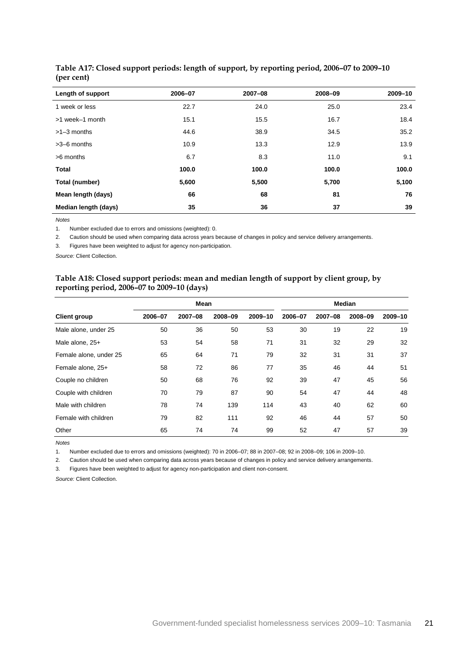| Length of support    | 2006-07 | 2007-08 | 2008-09 | 2009-10 |
|----------------------|---------|---------|---------|---------|
| 1 week or less       | 22.7    | 24.0    | 25.0    | 23.4    |
| >1 week-1 month      | 15.1    | 15.5    | 16.7    | 18.4    |
| $>1-3$ months        | 44.6    | 38.9    | 34.5    | 35.2    |
| $>3-6$ months        | 10.9    | 13.3    | 12.9    | 13.9    |
| >6 months            | 6.7     | 8.3     | 11.0    | 9.1     |
| <b>Total</b>         | 100.0   | 100.0   | 100.0   | 100.0   |
| Total (number)       | 5,600   | 5,500   | 5,700   | 5,100   |
| Mean length (days)   | 66      | 68      | 81      | 76      |
| Median length (days) | 35      | 36      | 37      | 39      |

#### <span id="page-24-0"></span>**Table A17: Closed support periods: length of support, by reporting period, 2006–07 to 2009–10 (per cent)**

*Notes*

1. Number excluded due to errors and omissions (weighted): 0.

2. Caution should be used when comparing data across years because of changes in policy and service delivery arrangements.

3. Figures have been weighted to adjust for agency non-participation.

<span id="page-24-1"></span>*Source:* Client Collection.

#### **Table A18: Closed support periods: mean and median length of support by client group, by reporting period, 2006–07 to 2009–10 (days)**

|                        |         | <b>Mean</b> |         | <b>Median</b> |         |         |         |         |
|------------------------|---------|-------------|---------|---------------|---------|---------|---------|---------|
| <b>Client group</b>    | 2006-07 | 2007-08     | 2008-09 | 2009-10       | 2006-07 | 2007-08 | 2008-09 | 2009-10 |
| Male alone, under 25   | 50      | 36          | 50      | 53            | 30      | 19      | 22      | 19      |
| Male alone, 25+        | 53      | 54          | 58      | 71            | 31      | 32      | 29      | 32      |
| Female alone, under 25 | 65      | 64          | 71      | 79            | 32      | 31      | 31      | 37      |
| Female alone, 25+      | 58      | 72          | 86      | 77            | 35      | 46      | 44      | 51      |
| Couple no children     | 50      | 68          | 76      | 92            | 39      | 47      | 45      | 56      |
| Couple with children   | 70      | 79          | 87      | 90            | 54      | 47      | 44      | 48      |
| Male with children     | 78      | 74          | 139     | 114           | 43      | 40      | 62      | 60      |
| Female with children   | 79      | 82          | 111     | 92            | 46      | 44      | 57      | 50      |
| Other                  | 65      | 74          | 74      | 99            | 52      | 47      | 57      | 39      |

*Notes*

1. Number excluded due to errors and omissions (weighted): 70 in 2006–07; 88 in 2007–08; 92 in 2008–09; 106 in 2009–10.

2. Caution should be used when comparing data across years because of changes in policy and service delivery arrangements.

3. Figures have been weighted to adjust for agency non-participation and client non-consent.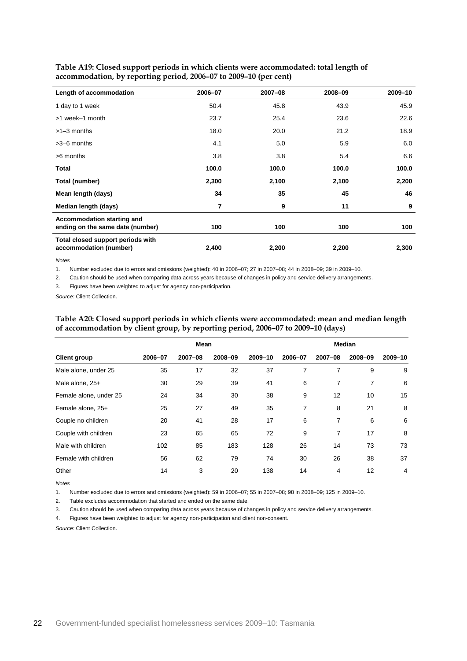| Length of accommodation                                        | 2006-07 | 2007-08 | 2008-09 | 2009-10 |
|----------------------------------------------------------------|---------|---------|---------|---------|
| 1 day to 1 week                                                | 50.4    | 45.8    | 43.9    | 45.9    |
| >1 week-1 month                                                | 23.7    | 25.4    | 23.6    | 22.6    |
| $>1-3$ months                                                  | 18.0    | 20.0    | 21.2    | 18.9    |
| $>3-6$ months                                                  | 4.1     | 5.0     | 5.9     | 6.0     |
| >6 months                                                      | 3.8     | 3.8     | 5.4     | 6.6     |
| Total                                                          | 100.0   | 100.0   | 100.0   | 100.0   |
| Total (number)                                                 | 2,300   | 2,100   | 2,100   | 2,200   |
| Mean length (days)                                             | 34      | 35      | 45      | 46      |
| Median length (days)                                           | 7       | 9       | 11      | 9       |
| Accommodation starting and<br>ending on the same date (number) | 100     | 100     | 100     | 100     |
| Total closed support periods with<br>accommodation (number)    | 2,400   | 2,200   | 2,200   | 2,300   |

<span id="page-25-0"></span>

| Table A19: Closed support periods in which clients were accommodated: total length of |
|---------------------------------------------------------------------------------------|
| accommodation, by reporting period, 2006–07 to 2009–10 (per cent)                     |

*Notes*

1. Number excluded due to errors and omissions (weighted): 40 in 2006–07; 27 in 2007–08; 44 in 2008–09; 39 in 2009–10.

2. Caution should be used when comparing data across years because of changes in policy and service delivery arrangements.

3. Figures have been weighted to adjust for agency non-participation.

<span id="page-25-1"></span>*Source:* Client Collection.

|                        |         | <b>Mean</b> |         |         | <b>Median</b> |         |         |                |
|------------------------|---------|-------------|---------|---------|---------------|---------|---------|----------------|
| <b>Client group</b>    | 2006-07 | 2007-08     | 2008-09 | 2009-10 | 2006-07       | 2007-08 | 2008-09 | 2009-10        |
| Male alone, under 25   | 35      | 17          | 32      | 37      | 7             | 7       | 9       | 9              |
| Male alone, 25+        | 30      | 29          | 39      | 41      | 6             | 7       | 7       | 6              |
| Female alone, under 25 | 24      | 34          | 30      | 38      | 9             | 12      | 10      | 15             |
| Female alone, 25+      | 25      | 27          | 49      | 35      | 7             | 8       | 21      | 8              |
| Couple no children     | 20      | 41          | 28      | 17      | 6             | 7       | 6       | 6              |
| Couple with children   | 23      | 65          | 65      | 72      | 9             | 7       | 17      | 8              |
| Male with children     | 102     | 85          | 183     | 128     | 26            | 14      | 73      | 73             |
| Female with children   | 56      | 62          | 79      | 74      | 30            | 26      | 38      | 37             |
| Other                  | 14      | 3           | 20      | 138     | 14            | 4       | 12      | $\overline{4}$ |

#### **Table A20: Closed support periods in which clients were accommodated: mean and median length of accommodation by client group, by reporting period, 2006–07 to 2009–10 (days)**

*Notes*

1. Number excluded due to errors and omissions (weighted): 59 in 2006–07; 55 in 2007–08; 98 in 2008–09; 125 in 2009–10.

2. Table excludes accommodation that started and ended on the same date.

3. Caution should be used when comparing data across years because of changes in policy and service delivery arrangements.

4. Figures have been weighted to adjust for agency non-participation and client non-consent.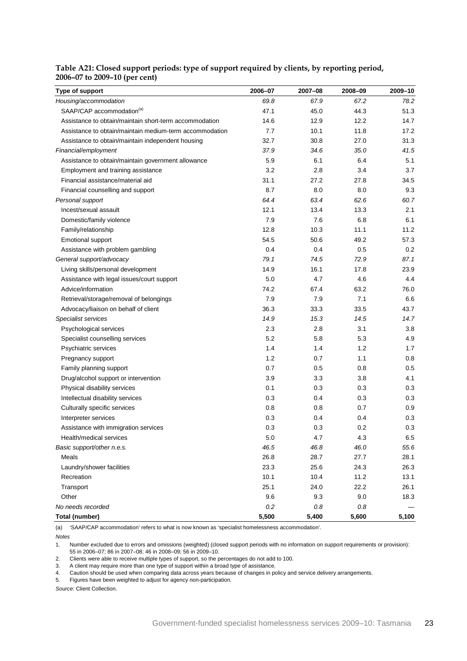#### <span id="page-26-0"></span>**Table A21: Closed support periods: type of support required by clients, by reporting period, 2006–07 to 2009–10 (per cent)**

| Type of support                                         | 2006-07 | 2007-08 | 2008-09 | 2009-10 |
|---------------------------------------------------------|---------|---------|---------|---------|
| Housing/accommodation                                   | 69.8    | 67.9    | 67.2    | 78.2    |
| SAAP/CAP accommodation <sup>(a)</sup>                   | 47.1    | 45.0    | 44.3    | 51.3    |
| Assistance to obtain/maintain short-term accommodation  | 14.6    | 12.9    | 12.2    | 14.7    |
| Assistance to obtain/maintain medium-term accommodation | 7.7     | 10.1    | 11.8    | 17.2    |
| Assistance to obtain/maintain independent housing       | 32.7    | 30.8    | 27.0    | 31.3    |
| Financial/employment                                    | 37.9    | 34.6    | 35.0    | 41.5    |
| Assistance to obtain/maintain government allowance      | 5.9     | 6.1     | 6.4     | 5.1     |
| Employment and training assistance                      | 3.2     | 2.8     | 3.4     | 3.7     |
| Financial assistance/material aid                       | 31.1    | 27.2    | 27.8    | 34.5    |
| Financial counselling and support                       | 8.7     | 8.0     | 8.0     | 9.3     |
| Personal support                                        | 64.4    | 63.4    | 62.6    | 60.7    |
| Incest/sexual assault                                   | 12.1    | 13.4    | 13.3    | 2.1     |
| Domestic/family violence                                | 7.9     | 7.6     | 6.8     | 6.1     |
| Family/relationship                                     | 12.8    | 10.3    | 11.1    | 11.2    |
| Emotional support                                       | 54.5    | 50.6    | 49.2    | 57.3    |
| Assistance with problem gambling                        | 0.4     | 0.4     | 0.5     | 0.2     |
| General support/advocacy                                | 79.1    | 74.5    | 72.9    | 87.1    |
| Living skills/personal development                      | 14.9    | 16.1    | 17.8    | 23.9    |
| Assistance with legal issues/court support              | 5.0     | 4.7     | 4.6     | 4.4     |
| Advice/information                                      | 74.2    | 67.4    | 63.2    | 76.0    |
| Retrieval/storage/removal of belongings                 | 7.9     | 7.9     | 7.1     | 6.6     |
| Advocacy/liaison on behalf of client                    | 36.3    | 33.3    | 33.5    | 43.7    |
| Specialist services                                     | 14.9    | 15.3    | 14.5    | 14.7    |
| Psychological services                                  | 2.3     | 2.8     | 3.1     | 3.8     |
| Specialist counselling services                         | 5.2     | 5.8     | 5.3     | 4.9     |
| Psychiatric services                                    | 1.4     | 1.4     | 1.2     | 1.7     |
| Pregnancy support                                       | 1.2     | 0.7     | 1.1     | 0.8     |
| Family planning support                                 | 0.7     | 0.5     | 0.8     | 0.5     |
| Drug/alcohol support or intervention                    | 3.9     | 3.3     | 3.8     | 4.1     |
| Physical disability services                            | 0.1     | 0.3     | 0.3     | 0.3     |
| Intellectual disability services                        | 0.3     | 0.4     | 0.3     | 0.3     |
| Culturally specific services                            | 0.8     | 0.8     | 0.7     | 0.9     |
| Interpreter services                                    | 0.3     | 0.4     | 0.4     | 0.3     |
| Assistance with immigration services                    | 0.3     | 0.3     | 0.2     | 0.3     |
| Health/medical services                                 | 5.0     | 4.7     | 4.3     | $6.5\,$ |
| Basic support/other n.e.s.                              | 46.5    | 46.8    | 46.0    | 55.6    |
| Meals                                                   | 26.8    | 28.7    | 27.7    | 28.1    |
| Laundry/shower facilities                               | 23.3    | 25.6    | 24.3    | 26.3    |
| Recreation                                              | 10.1    | 10.4    | 11.2    | 13.1    |
| Transport                                               | 25.1    | 24.0    | 22.2    | 26.1    |
| Other                                                   | 9.6     | 9.3     | 9.0     | 18.3    |
| No needs recorded                                       | 0.2     | 0.8     | 0.8     |         |
| <b>Total (number)</b>                                   | 5,500   | 5,400   | 5,600   | 5,100   |

(a) 'SAAP/CAP accommodation' refers to what is now known as 'specialist homelessness accommodation'.

*Notes*

1. Number excluded due to errors and omissions (weighted) (closed support periods with no information on support requirements or provision): 55 in 2006–07; 86 in 2007–08; 46 in 2008–09; 56 in 2009–10.

2. Clients were able to receive multiple types of support, so the percentages do not add to 100.

3. A client may require more than one type of support within a broad type of assistance.

4. Caution should be used when comparing data across years because of changes in policy and service delivery arrangements.

5. Figures have been weighted to adjust for agency non-participation.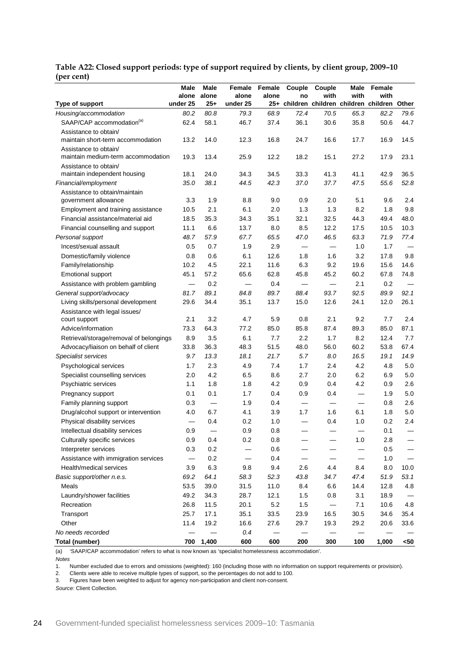|                                         | Male                     | Male   | Female                         | Female | Couple            | Couple            | Male                     | Female                                        |        |
|-----------------------------------------|--------------------------|--------|--------------------------------|--------|-------------------|-------------------|--------------------------|-----------------------------------------------|--------|
|                                         | alone                    | alone  | alone                          | alone  | no                | with              | with                     | with                                          |        |
| Type of support                         | under 25                 | $25 +$ | under 25                       |        |                   |                   |                          | 25+ children children children children Other |        |
| Housing/accommodation                   | 80.2                     | 80.8   | 79.3                           | 68.9   | 72.4              | 70.5              | 65.3                     | 82.2                                          | 79.6   |
| SAAP/CAP accommodation <sup>(a)</sup>   | 62.4                     | 58.1   | 46.7                           | 37.4   | 36.1              | 30.6              | 35.8                     | 50.6                                          | 44.7   |
| Assistance to obtain/                   |                          |        |                                |        |                   |                   |                          |                                               |        |
| maintain short-term accommodation       | 13.2                     | 14.0   | 12.3                           | 16.8   | 24.7              | 16.6              | 17.7                     | 16.9                                          | 14.5   |
| Assistance to obtain/                   |                          |        |                                |        |                   |                   |                          |                                               |        |
| maintain medium-term accommodation      | 19.3                     | 13.4   | 25.9                           | 12.2   | 18.2              | 15.1              | 27.2                     | 17.9                                          | 23.1   |
| Assistance to obtain/                   |                          |        |                                |        |                   |                   |                          |                                               |        |
| maintain independent housing            | 18.1                     | 24.0   | 34.3                           | 34.5   | 33.3              | 41.3              | 41.1                     | 42.9                                          | 36.5   |
| Financial/employment                    | 35.0                     | 38.1   | 44.5                           | 42.3   | 37.0              | 37.7              | 47.5                     | 55.6                                          | 52.8   |
| Assistance to obtain/maintain           |                          |        |                                |        |                   |                   |                          |                                               |        |
| government allowance                    | 3.3                      | 1.9    | 8.8                            | 9.0    | 0.9               | 2.0               | 5.1                      | 9.6                                           | 2.4    |
| Employment and training assistance      | 10.5                     | 2.1    | 6.1                            | 2.0    | 1.3               | 1.3               | 8.2                      | 1.8                                           | 9.8    |
| Financial assistance/material aid       | 18.5                     | 35.3   | 34.3                           | 35.1   | 32.1              | 32.5              | 44.3                     | 49.4                                          | 48.0   |
| Financial counselling and support       | 11.1                     | 6.6    | 13.7                           | 8.0    | 8.5               | 12.2              | 17.5                     | 10.5                                          | 10.3   |
| Personal support                        | 48.7                     | 57.9   | 67.7                           | 65.5   | 47.0              | 46.5              | 63.3                     | 71.9                                          | 77.4   |
| Incest/sexual assault                   | 0.5                      | 0.7    | 1.9                            | 2.9    |                   |                   | 1.0                      | 1.7                                           |        |
| Domestic/family violence                | 0.8                      | 0.6    | 6.1                            | 12.6   | 1.8               | 1.6               | 3.2                      | 17.8                                          | 9.8    |
| Family/relationship                     | 10.2                     | 4.5    | 22.1                           | 11.6   | 6.3               | 9.2               | 19.6                     | 15.6                                          | 14.6   |
| <b>Emotional support</b>                | 45.1                     | 57.2   | 65.6                           | 62.8   | 45.8              | 45.2              | 60.2                     | 67.8                                          | 74.8   |
| Assistance with problem gambling        |                          | 0.2    | $\qquad \qquad \longleftarrow$ | 0.4    |                   | $\qquad \qquad$   | 2.1                      | 0.2                                           |        |
| General support/advocacy                | 81.7                     | 89.1   | 84.8                           | 89.7   | 88.4              | 93.7              | 92.5                     | 89.9                                          | 92.1   |
| Living skills/personal development      | 29.6                     | 34.4   | 35.1                           | 13.7   | 15.0              | 12.6              | 24.1                     | 12.0                                          | 26.1   |
| Assistance with legal issues/           |                          |        |                                |        |                   |                   |                          |                                               |        |
| court support                           | 2.1                      | 3.2    | 4.7                            | 5.9    | 0.8               | 2.1               | 9.2                      | 7.7                                           | 2.4    |
| Advice/information                      | 73.3                     | 64.3   | 77.2                           | 85.0   | 85.8              | 87.4              | 89.3                     | 85.0                                          | 87.1   |
| Retrieval/storage/removal of belongings | 8.9                      | 3.5    | 6.1                            | 7.7    | 2.2               | 1.7               | 8.2                      | 12.4                                          | 7.7    |
| Advocacy/liaison on behalf of client    | 33.8                     | 36.3   | 48.3                           | 51.5   | 48.0              | 56.0              | 60.2                     | 53.8                                          | 67.4   |
| Specialist services                     | 9.7                      | 13.3   | 18.1                           | 21.7   | 5.7               | 8.0               | 16.5                     | 19.1                                          | 14.9   |
| Psychological services                  | 1.7                      | 2.3    | 4.9                            | 7.4    | 1.7               | 2.4               | 4.2                      | 4.8                                           | 5.0    |
| Specialist counselling services         | 2.0                      | 4.2    | 6.5                            | 8.6    | 2.7               | 2.0               | 6.2                      | 6.9                                           | 5.0    |
| Psychiatric services                    | 1.1                      | 1.8    | 1.8                            | 4.2    | 0.9               | 0.4               | 4.2                      | 0.9                                           | 2.6    |
| Pregnancy support                       | 0.1                      | 0.1    | 1.7                            | 0.4    | 0.9               | 0.4               |                          | 1.9                                           | 5.0    |
| Family planning support                 | 0.3                      |        | 1.9                            | 0.4    | $\qquad \qquad -$ | $\qquad \qquad -$ | $\overline{\phantom{0}}$ | 0.8                                           | 2.6    |
| Drug/alcohol support or intervention    | 4.0                      | 6.7    | 4.1                            | 3.9    | 1.7               | 1.6               | 6.1                      | 1.8                                           | 5.0    |
| Physical disability services            |                          | 0.4    | 0.2                            | 1.0    |                   | 0.4               | 1.0                      | 0.2                                           | 2.4    |
| Intellectual disability services        | 0.9                      |        | 0.9                            | 0.8    |                   |                   |                          | 0.1                                           |        |
| Culturally specific services            | 0.9                      | 0.4    | $0.2\,$                        | 0.8    |                   |                   | 1.0                      | 2.8                                           |        |
| Interpreter services                    | 0.3                      | 0.2    |                                | 0.6    |                   |                   |                          | 0.5                                           |        |
|                                         |                          |        |                                |        |                   |                   |                          |                                               |        |
| Assistance with immigration services    | $\overline{\phantom{0}}$ | 0.2    | —                              | 0.4    |                   |                   | —                        | $1.0$                                         |        |
| Health/medical services                 | 3.9                      | 6.3    | 9.8                            | 9.4    | 2.6               | 4.4               | 8.4                      | 8.0                                           | 10.0   |
| Basic support/other n.e.s.              | 69.2                     | 64.1   | 58.3                           | 52.3   | 43.8              | 34.7              | 47.4                     | 51.9                                          | 53.1   |
| Meals                                   | 53.5                     | 39.0   | 31.5                           | 11.0   | 8.4               | 6.6               | 14.4                     | 12.8                                          | 4.8    |
| Laundry/shower facilities               | 49.2                     | 34.3   | 28.7                           | 12.1   | 1.5               | 0.8               | 3.1                      | 18.9                                          |        |
| Recreation                              | 26.8                     | 11.5   | 20.1                           | 5.2    | 1.5               |                   | 7.1                      | 10.6                                          | 4.8    |
| Transport                               | 25.7                     | 17.1   | 35.1                           | 33.5   | 23.9              | 16.5              | 30.5                     | 34.6                                          | 35.4   |
| Other                                   | 11.4                     | 19.2   | 16.6                           | 27.6   | 29.7              | 19.3              | 29.2                     | 20.6                                          | 33.6   |
| No needs recorded                       |                          |        | 0.4                            |        |                   |                   |                          |                                               |        |
| Total (number)                          | 700                      | 1,400  | 600                            | 600    | 200               | 300               | 100                      | 1,000                                         | $< 50$ |

<span id="page-27-0"></span>**Table A22: Closed support periods: type of support required by clients, by client group, 2009–10 (per cent)**

(a) 'SAAP/CAP accommodation' refers to what is now known as 'specialist homelessness accommodation'.

*Notes*

1. Number excluded due to errors and omissions (weighted): 160 (including those with no information on support requirements or provision).

2. Clients were able to receive multiple types of support, so the percentages do not add to 100.<br>3. Figures have been weighted to adjust for agency non-participation and client non-consent

3. Figures have been weighted to adjust for agency non-participation and client non-consent.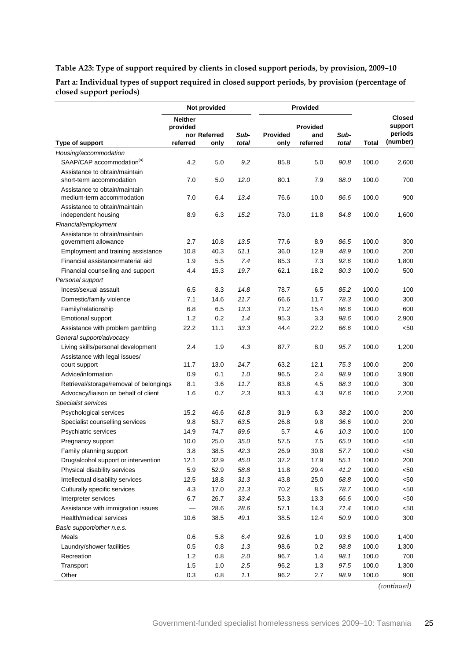### <span id="page-28-0"></span>**Table A23: Type of support required by clients in closed support periods, by provision, 2009–10**

**Part a: Individual types of support required in closed support periods, by provision (percentage of closed support periods)**

|                                                            | Not provided               |              |       | Provided |                 |       |              |                          |
|------------------------------------------------------------|----------------------------|--------------|-------|----------|-----------------|-------|--------------|--------------------------|
|                                                            | <b>Neither</b><br>provided |              |       |          | <b>Provided</b> |       |              | <b>Closed</b><br>support |
|                                                            |                            | nor Referred | Sub-  | Provided | and             | Sub-  |              | periods                  |
| Type of support                                            | referred                   | only         | total | only     | referred        | total | <b>Total</b> | (number)                 |
| Housing/accommodation                                      |                            |              |       |          |                 |       |              |                          |
| SAAP/CAP accommodation <sup>(a)</sup>                      | 4.2                        | 5.0          | 9.2   | 85.8     | 5.0             | 90.8  | 100.0        | 2,600                    |
| Assistance to obtain/maintain<br>short-term accommodation  | 7.0                        | 5.0          | 12.0  | 80.1     | 7.9             | 88.0  | 100.0        | 700                      |
| Assistance to obtain/maintain<br>medium-term accommodation | 7.0                        | 6.4          | 13.4  | 76.6     | 10.0            | 86.6  | 100.0        | 900                      |
| Assistance to obtain/maintain<br>independent housing       | 8.9                        | 6.3          | 15.2  | 73.0     | 11.8            | 84.8  | 100.0        | 1,600                    |
| Financial/employment                                       |                            |              |       |          |                 |       |              |                          |
| Assistance to obtain/maintain<br>government allowance      | 2.7                        | 10.8         | 13.5  | 77.6     | 8.9             | 86.5  | 100.0        | 300                      |
| Employment and training assistance                         | 10.8                       | 40.3         | 51.1  | 36.0     | 12.9            | 48.9  | 100.0        | 200                      |
| Financial assistance/material aid                          | 1.9                        | 5.5          | 7.4   | 85.3     | 7.3             | 92.6  | 100.0        | 1,800                    |
| Financial counselling and support                          | 4.4                        | 15.3         | 19.7  | 62.1     | 18.2            | 80.3  | 100.0        | 500                      |
| Personal support                                           |                            |              |       |          |                 |       |              |                          |
| Incest/sexual assault                                      | 6.5                        | 8.3          | 14.8  | 78.7     | 6.5             | 85.2  | 100.0        | 100                      |
| Domestic/family violence                                   | 7.1                        | 14.6         | 21.7  | 66.6     | 11.7            | 78.3  | 100.0        | 300                      |
| Family/relationship                                        | 6.8                        | 6.5          | 13.3  | 71.2     | 15.4            | 86.6  | 100.0        | 600                      |
| <b>Emotional support</b>                                   | 1.2                        | 0.2          | 1.4   | 95.3     | 3.3             | 98.6  | 100.0        | 2,900                    |
| Assistance with problem gambling                           | 22.2                       | 11.1         | 33.3  | 44.4     | 22.2            | 66.6  | 100.0        | <50                      |
| General support/advocacy                                   |                            |              |       |          |                 |       |              |                          |
| Living skills/personal development                         | 2.4                        | 1.9          | 4.3   | 87.7     | 8.0             | 95.7  | 100.0        | 1,200                    |
| Assistance with legal issues/                              |                            |              |       |          |                 |       |              |                          |
| court support                                              | 11.7                       | 13.0         | 24.7  | 63.2     | 12.1            | 75.3  | 100.0        | 200                      |
| Advice/information                                         | 0.9                        | 0.1          | 1.0   | 96.5     | 2.4             | 98.9  | 100.0        | 3,900                    |
| Retrieval/storage/removal of belongings                    | 8.1                        | 3.6          | 11.7  | 83.8     | 4.5             | 88.3  | 100.0        | 300                      |
| Advocacy/liaison on behalf of client                       | 1.6                        | 0.7          | 2.3   | 93.3     | 4.3             | 97.6  | 100.0        | 2,200                    |
| Specialist services                                        |                            |              |       |          |                 |       |              |                          |
| Psychological services                                     | 15.2                       | 46.6         | 61.8  | 31.9     | 6.3             | 38.2  | 100.0        | 200                      |
| Specialist counselling services                            | 9.8                        | 53.7         | 63.5  | 26.8     | 9.8             | 36.6  | 100.0        | 200                      |
| Psychiatric services                                       | 14.9                       | 74.7         | 89.6  | 5.7      | 4.6             | 10.3  | 100.0        | 100                      |
| Pregnancy support                                          | 10.0                       | 25.0         | 35.0  | 57.5     | 7.5             | 65.0  | 100.0        | < 50                     |
| Family planning support                                    | 3.8                        | 38.5         | 42.3  | 26.9     | 30.8            | 57.7  | 100.0        | $50$                     |
| Drug/alcohol support or intervention                       | 12.1                       | 32.9         | 45.0  | 37.2     | 17.9            | 55.1  | 100.0        | 200                      |
| Physical disability services                               | 5.9                        | 52.9         | 58.8  | 11.8     | 29.4            | 41.2  | 100.0        | $50$                     |
| Intellectual disability services                           | 12.5                       | 18.8         | 31.3  | 43.8     | 25.0            | 68.8  | 100.0        | $50$                     |
| Culturally specific services                               | 4.3                        | 17.0         | 21.3  | 70.2     | 8.5             | 78.7  | 100.0        | $50$                     |
| Interpreter services                                       | 6.7                        | 26.7         | 33.4  | 53.3     | 13.3            | 66.6  | 100.0        | $50$                     |
| Assistance with immigration issues                         |                            | 28.6         | 28.6  | 57.1     | 14.3            | 71.4  | 100.0        | $50$                     |
| Health/medical services                                    | 10.6                       | 38.5         | 49.1  | 38.5     | 12.4            | 50.9  | 100.0        | 300                      |
| Basic support/other n.e.s.                                 |                            |              |       |          |                 |       |              |                          |
| Meals                                                      | 0.6                        | 5.8          | 6.4   | 92.6     | 1.0             | 93.6  | 100.0        | 1,400                    |
| Laundry/shower facilities                                  | 0.5                        | 0.8          | 1.3   | 98.6     | 0.2             | 98.8  | 100.0        | 1,300                    |
| Recreation                                                 | 1.2                        | 0.8          | 2.0   | 96.7     | 1.4             | 98.1  | 100.0        | 700                      |
| Transport                                                  | 1.5                        | 1.0          | 2.5   | 96.2     | 1.3             | 97.5  | 100.0        | 1,300                    |
| Other                                                      | 0.3                        | 0.8          | 1.1   | 96.2     | 2.7             | 98.9  | 100.0        | 900                      |

*(continued)*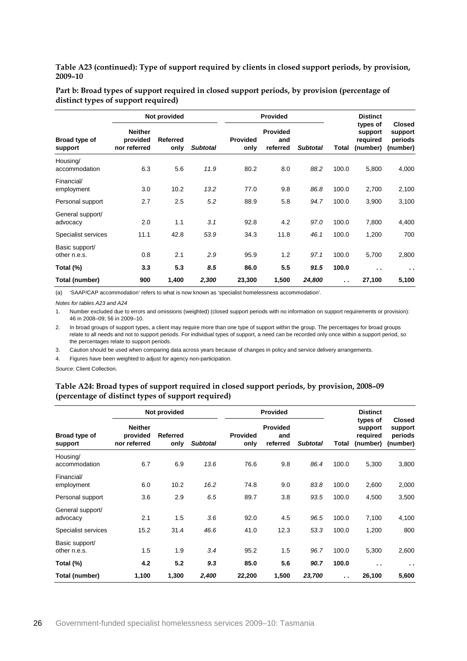**Table A23 (continued): Type of support required by clients in closed support periods, by provision, 2009–10**

| Part b: Broad types of support required in closed support periods, by provision (percentage of |  |
|------------------------------------------------------------------------------------------------|--|
| distinct types of support required)                                                            |  |

|                                | Not provided                               |                         |                 | <b>Provided</b>         |                                    |                 |                      | <b>Distinct</b>                             |                                                 |  |
|--------------------------------|--------------------------------------------|-------------------------|-----------------|-------------------------|------------------------------------|-----------------|----------------------|---------------------------------------------|-------------------------------------------------|--|
| Broad type of<br>support       | <b>Neither</b><br>provided<br>nor referred | <b>Referred</b><br>only | <b>Subtotal</b> | <b>Provided</b><br>only | <b>Provided</b><br>and<br>referred | <b>Subtotal</b> | Total                | types of<br>support<br>required<br>(number) | <b>Closed</b><br>support<br>periods<br>(number) |  |
| Housing/<br>accommodation      | 6.3                                        | 5.6                     | 11.9            | 80.2                    | 8.0                                | 88.2            | 100.0                | 5,800                                       | 4,000                                           |  |
| Financial/<br>employment       | 3.0                                        | 10.2                    | 13.2            | 77.0                    | 9.8                                | 86.8            | 100.0                | 2,700                                       | 2,100                                           |  |
| Personal support               | 2.7                                        | 2.5                     | 5.2             | 88.9                    | 5.8                                | 94.7            | 100.0                | 3,900                                       | 3,100                                           |  |
| General support/<br>advocacy   | 2.0                                        | 1.1                     | 3.1             | 92.8                    | 4.2                                | 97.0            | 100.0                | 7,800                                       | 4,400                                           |  |
| Specialist services            | 11.1                                       | 42.8                    | 53.9            | 34.3                    | 11.8                               | 46.1            | 100.0                | 1,200                                       | 700                                             |  |
| Basic support/<br>other n.e.s. | 0.8                                        | 2.1                     | 2.9             | 95.9                    | 1.2                                | 97.1            | 100.0                | 5,700                                       | 2,800                                           |  |
| Total (%)                      | 3.3                                        | 5.3                     | 8.5             | 86.0                    | 5.5                                | 91.5            | 100.0                | $\ddot{\phantom{1}}$                        | $\sim$ $\sim$                                   |  |
| Total (number)                 | 900                                        | 1,400                   | 2,300           | 23,300                  | 1,500                              | 24,800          | $\ddot{\phantom{a}}$ | 27,100                                      | 5,100                                           |  |

(a) 'SAAP/CAP accommodation' refers to what is now known as 'specialist homelessness accommodation'.

*Notes for tables A23 and A24*

1. Number excluded due to errors and omissions (weighted) (closed support periods with no information on support requirements or provision): 46 in 2008–09; 56 in 2009–10.

2. In broad groups of support types, a client may require more than one type of support within the group. The percentages for broad groups relate to all needs and not to support periods. For individual types of support, a need can be recorded only once within a support period, so the percentages relate to support periods.

3. Caution should be used when comparing data across years because of changes in policy and service delivery arrangements.

4. Figures have been weighted to adjust for agency non-participation.

<span id="page-29-0"></span>*Source:* Client Collection.

#### **Table A24: Broad types of support required in closed support periods, by provision, 2008–09 (percentage of distinct types of support required)**

|                                | Not provided                               |                         |                 |                         | <b>Provided</b>                    |                 |                      | <b>Distinct</b>                             |                                                 |  |
|--------------------------------|--------------------------------------------|-------------------------|-----------------|-------------------------|------------------------------------|-----------------|----------------------|---------------------------------------------|-------------------------------------------------|--|
| Broad type of<br>support       | <b>Neither</b><br>provided<br>nor referred | <b>Referred</b><br>only | <b>Subtotal</b> | <b>Provided</b><br>only | <b>Provided</b><br>and<br>referred | <b>Subtotal</b> | Total                | types of<br>support<br>required<br>(number) | <b>Closed</b><br>support<br>periods<br>(number) |  |
| Housing/<br>accommodation      | 6.7                                        | 6.9                     | 13.6            | 76.6                    | 9.8                                | 86.4            | 100.0                | 5,300                                       | 3,800                                           |  |
| Financial/<br>employment       | 6.0                                        | 10.2                    | 16.2            | 74.8                    | 9.0                                | 83.8            | 100.0                | 2,600                                       | 2,000                                           |  |
| Personal support               | 3.6                                        | 2.9                     | 6.5             | 89.7                    | 3.8                                | 93.5            | 100.0                | 4,500                                       | 3,500                                           |  |
| General support/<br>advocacy   | 2.1                                        | 1.5                     | 3.6             | 92.0                    | 4.5                                | 96.5            | 100.0                | 7,100                                       | 4,100                                           |  |
| Specialist services            | 15.2                                       | 31.4                    | 46.6            | 41.0                    | 12.3                               | 53.3            | 100.0                | 1,200                                       | 800                                             |  |
| Basic support/<br>other n.e.s. | 1.5                                        | 1.9                     | 3.4             | 95.2                    | 1.5                                | 96.7            | 100.0                | 5,300                                       | 2,600                                           |  |
| Total (%)                      | 4.2                                        | 5.2                     | 9.3             | 85.0                    | 5.6                                | 90.7            | 100.0                | $\ddot{\phantom{1}}$                        | $\ddot{\phantom{0}}$                            |  |
| Total (number)                 | 1,100                                      | 1,300                   | 2,400           | 22,200                  | 1,500                              | 23,700          | $\ddot{\phantom{a}}$ | 26,100                                      | 5,600                                           |  |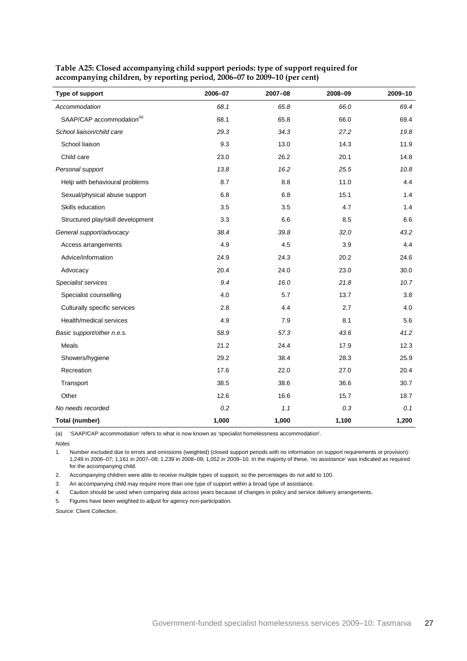| Type of support                       | 2006-07 | 2007-08 | 2008-09 | 2009-10 |
|---------------------------------------|---------|---------|---------|---------|
| Accommodation                         | 68.1    | 65.8    | 66.0    | 69.4    |
| SAAP/CAP accommodation <sup>(a)</sup> | 68.1    | 65.8    | 66.0    | 69.4    |
| School liaison/child care             | 29.3    | 34.3    | 27.2    | 19.8    |
| School liaison                        | 9.3     | 13.0    | 14.3    | 11.9    |
| Child care                            | 23.0    | 26.2    | 20.1    | 14.8    |
| Personal support                      | 13.8    | 16.2    | 25.5    | 10.8    |
| Help with behavioural problems        | 8.7     | 8.8     | 11.0    | 4.4     |
| Sexual/physical abuse support         | 6.8     | 6.8     | 15.1    | 1.4     |
| Skills education                      | 3.5     | 3.5     | 4.7     | 1.4     |
| Structured play/skill development     | 3.3     | 6.6     | 8.5     | 6.6     |
| General support/advocacy              | 38.4    | 39.8    | 32.0    | 43.2    |
| Access arrangements                   | 4.9     | 4.5     | 3.9     | 4.4     |
| Advice/information                    | 24.9    | 24.3    | 20.2    | 24.6    |
| Advocacy                              | 20.4    | 24.0    | 23.0    | 30.0    |
| Specialist services                   | 9.4     | 16.0    | 21.8    | 10.7    |
| Specialist counselling                | 4.0     | 5.7     | 13.7    | 3.8     |
| Culturally specific services          | 2.8     | 4.4     | 2.7     | 4.0     |
| Health/medical services               | 4.9     | 7.9     | 8.1     | 5.6     |
| Basic support/other n.e.s.            | 58.9    | 57.3    | 43.6    | 41.2    |
| Meals                                 | 21.2    | 24.4    | 17.9    | 12.3    |
| Showers/hygiene                       | 29.2    | 38.4    | 28.3    | 25.9    |
| Recreation                            | 17.6    | 22.0    | 27.0    | 20.4    |
| Transport                             | 38.5    | 38.6    | 36.6    | 30.7    |
| Other                                 | 12.6    | 16.6    | 15.7    | 18.7    |
| No needs recorded                     | 0.2     | 1.1     | 0.3     | 0.1     |
| Total (number)                        | 1,000   | 1,000   | 1,100   | 1,200   |

<span id="page-30-0"></span>**Table A25: Closed accompanying child support periods: type of support required for accompanying children, by reporting period, 2006–07 to 2009–10 (per cent)**

(a) 'SAAP/CAP accommodation' refers to what is now known as 'specialist homelessness accommodation'.

*Notes*

1. Number excluded due to errors and omissions (weighted) (closed support periods with no information on support requirements or provision): 1,249 in 2006–07; 1,161 in 2007–08; 1,239 in 2008–09; 1,052 in 2009–10. In the majority of these, 'no assistance' was indicated as required for the accompanying child.

2. Accompanying children were able to receive multiple types of support, so the percentages do not add to 100.

3. An accompanying child may require more than one type of support within a broad type of assistance.

4. Caution should be used when comparing data across years because of changes in policy and service delivery arrangements.

5. Figures have been weighted to adjust for agency non-participation.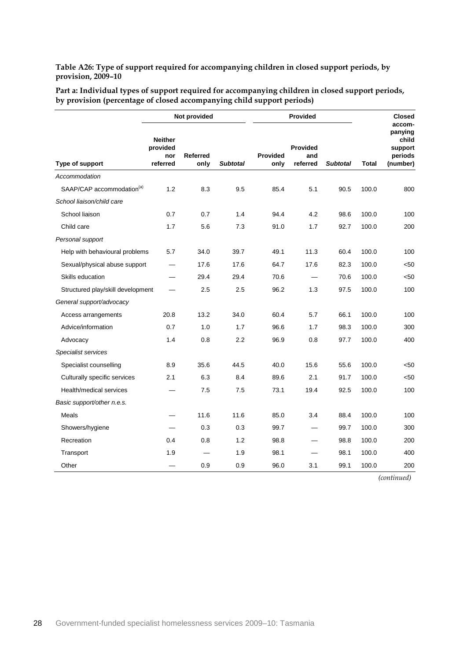<span id="page-31-0"></span>**Table A26: Type of support required for accompanying children in closed support periods, by provision, 2009–10**

| Part a: Individual types of support required for accompanying children in closed support periods, |  |
|---------------------------------------------------------------------------------------------------|--|
| by provision (percentage of closed accompanying child support periods)                            |  |

|                                       | Not provided                                  |                         |                 |                         | <b>Provided</b>                    |                 |              | <b>Closed</b>                                                |
|---------------------------------------|-----------------------------------------------|-------------------------|-----------------|-------------------------|------------------------------------|-----------------|--------------|--------------------------------------------------------------|
| Type of support                       | <b>Neither</b><br>provided<br>nor<br>referred | <b>Referred</b><br>only | <b>Subtotal</b> | <b>Provided</b><br>only | <b>Provided</b><br>and<br>referred | <b>Subtotal</b> | <b>Total</b> | accom-<br>panying<br>child<br>support<br>periods<br>(number) |
| Accommodation                         |                                               |                         |                 |                         |                                    |                 |              |                                                              |
| SAAP/CAP accommodation <sup>(a)</sup> | 1.2                                           | 8.3                     | 9.5             | 85.4                    | 5.1                                | 90.5            | 100.0        | 800                                                          |
| School liaison/child care             |                                               |                         |                 |                         |                                    |                 |              |                                                              |
| School liaison                        | 0.7                                           | 0.7                     | 1.4             | 94.4                    | 4.2                                | 98.6            | 100.0        | 100                                                          |
| Child care                            | 1.7                                           | 5.6                     | 7.3             | 91.0                    | 1.7                                | 92.7            | 100.0        | 200                                                          |
| Personal support                      |                                               |                         |                 |                         |                                    |                 |              |                                                              |
| Help with behavioural problems        | 5.7                                           | 34.0                    | 39.7            | 49.1                    | 11.3                               | 60.4            | 100.0        | 100                                                          |
| Sexual/physical abuse support         |                                               | 17.6                    | 17.6            | 64.7                    | 17.6                               | 82.3            | 100.0        | < 50                                                         |
| Skills education                      |                                               | 29.4                    | 29.4            | 70.6                    | $\overline{\phantom{0}}$           | 70.6            | 100.0        | $50$                                                         |
| Structured play/skill development     |                                               | 2.5                     | 2.5             | 96.2                    | 1.3                                | 97.5            | 100.0        | 100                                                          |
| General support/advocacy              |                                               |                         |                 |                         |                                    |                 |              |                                                              |
| Access arrangements                   | 20.8                                          | 13.2                    | 34.0            | 60.4                    | 5.7                                | 66.1            | 100.0        | 100                                                          |
| Advice/information                    | 0.7                                           | 1.0                     | 1.7             | 96.6                    | 1.7                                | 98.3            | 100.0        | 300                                                          |
| Advocacy                              | 1.4                                           | 0.8                     | 2.2             | 96.9                    | 0.8                                | 97.7            | 100.0        | 400                                                          |
| Specialist services                   |                                               |                         |                 |                         |                                    |                 |              |                                                              |
| Specialist counselling                | 8.9                                           | 35.6                    | 44.5            | 40.0                    | 15.6                               | 55.6            | 100.0        | $50$                                                         |
| Culturally specific services          | 2.1                                           | 6.3                     | 8.4             | 89.6                    | 2.1                                | 91.7            | 100.0        | $50$                                                         |
| Health/medical services               |                                               | 7.5                     | 7.5             | 73.1                    | 19.4                               | 92.5            | 100.0        | 100                                                          |
| Basic support/other n.e.s.            |                                               |                         |                 |                         |                                    |                 |              |                                                              |
| Meals                                 |                                               | 11.6                    | 11.6            | 85.0                    | 3.4                                | 88.4            | 100.0        | 100                                                          |
| Showers/hygiene                       |                                               | 0.3                     | 0.3             | 99.7                    |                                    | 99.7            | 100.0        | 300                                                          |
| Recreation                            | 0.4                                           | 0.8                     | 1.2             | 98.8                    |                                    | 98.8            | 100.0        | 200                                                          |
| Transport                             | 1.9                                           |                         | 1.9             | 98.1                    |                                    | 98.1            | 100.0        | 400                                                          |
| Other                                 |                                               | 0.9                     | 0.9             | 96.0                    | 3.1                                | 99.1            | 100.0        | 200                                                          |

*(continued)*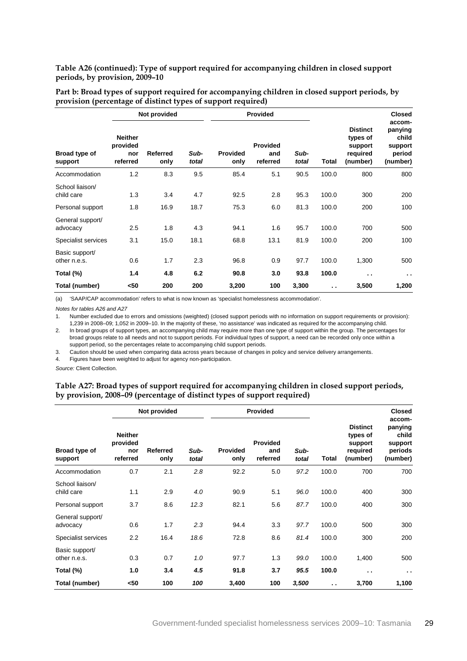#### **Table A26 (continued): Type of support required for accompanying children in closed support periods, by provision, 2009–10**

|                                | Not provided                                  |                  |               |                         | <b>Provided</b>                    |               |                      |                                                                | <b>Closed</b>                                               |
|--------------------------------|-----------------------------------------------|------------------|---------------|-------------------------|------------------------------------|---------------|----------------------|----------------------------------------------------------------|-------------------------------------------------------------|
| Broad type of<br>support       | <b>Neither</b><br>provided<br>nor<br>referred | Referred<br>only | Sub-<br>total | <b>Provided</b><br>only | <b>Provided</b><br>and<br>referred | Sub-<br>total | <b>Total</b>         | <b>Distinct</b><br>types of<br>support<br>required<br>(number) | accom-<br>panying<br>child<br>support<br>period<br>(number) |
| Accommodation                  | 1.2                                           | 8.3              | 9.5           | 85.4                    | 5.1                                | 90.5          | 100.0                | 800                                                            | 800                                                         |
| School liaison/<br>child care  | 1.3                                           | 3.4              | 4.7           | 92.5                    | 2.8                                | 95.3          | 100.0                | 300                                                            | 200                                                         |
| Personal support               | 1.8                                           | 16.9             | 18.7          | 75.3                    | 6.0                                | 81.3          | 100.0                | 200                                                            | 100                                                         |
| General support/<br>advocacy   | 2.5                                           | 1.8              | 4.3           | 94.1                    | 1.6                                | 95.7          | 100.0                | 700                                                            | 500                                                         |
| Specialist services            | 3.1                                           | 15.0             | 18.1          | 68.8                    | 13.1                               | 81.9          | 100.0                | 200                                                            | 100                                                         |
| Basic support/<br>other n.e.s. | 0.6                                           | 1.7              | 2.3           | 96.8                    | 0.9                                | 97.7          | 100.0                | 1,300                                                          | 500                                                         |
| Total (%)                      | 1.4                                           | 4.8              | 6.2           | 90.8                    | 3.0                                | 93.8          | 100.0                | $\cdot$ .                                                      | $\sim$ $\sim$                                               |
| Total (number)                 | <50                                           | 200              | 200           | 3,200                   | 100                                | 3,300         | $\ddot{\phantom{a}}$ | 3,500                                                          | 1,200                                                       |

**Part b: Broad types of support required for accompanying children in closed support periods, by provision (percentage of distinct types of support required)**

(a) 'SAAP/CAP accommodation' refers to what is now known as 'specialist homelessness accommodation'.

*Notes for tables A26 and A27*

1. Number excluded due to errors and omissions (weighted) (closed support periods with no information on support requirements or provision): 1,239 in 2008–09; 1,052 in 2009–10. In the majority of these, 'no assistance' was indicated as required for the accompanying child.

2. In broad groups of support types, an accompanying child may require more than one type of support within the group. The percentages for broad groups relate to all needs and not to support periods. For individual types of support, a need can be recorded only once within a support period, so the percentages relate to accompanying child support periods.

3. Caution should be used when comparing data across years because of changes in policy and service delivery arrangements.

4. Figures have been weighted to adjust for agency non-participation.

<span id="page-32-0"></span>*Source:* Client Collection.

#### **Table A27: Broad types of support required for accompanying children in closed support periods, by provision, 2008–09 (percentage of distinct types of support required)**

|                                | Not provided                                  |                  |               |                         | <b>Provided</b>             |               |       |                                                                | <b>Closed</b>                                                |
|--------------------------------|-----------------------------------------------|------------------|---------------|-------------------------|-----------------------------|---------------|-------|----------------------------------------------------------------|--------------------------------------------------------------|
| Broad type of<br>support       | <b>Neither</b><br>provided<br>nor<br>referred | Referred<br>only | Sub-<br>total | <b>Provided</b><br>only | Provided<br>and<br>referred | Sub-<br>total | Total | <b>Distinct</b><br>types of<br>support<br>required<br>(number) | accom-<br>panying<br>child<br>support<br>periods<br>(number) |
| Accommodation                  | 0.7                                           | 2.1              | 2.8           | 92.2                    | 5.0                         | 97.2          | 100.0 | 700                                                            | 700                                                          |
| School liaison/<br>child care  | 1.1                                           | 2.9              | 4.0           | 90.9                    | 5.1                         | 96.0          | 100.0 | 400                                                            | 300                                                          |
| Personal support               | 3.7                                           | 8.6              | 12.3          | 82.1                    | 5.6                         | 87.7          | 100.0 | 400                                                            | 300                                                          |
| General support/<br>advocacy   | 0.6                                           | 1.7              | 2.3           | 94.4                    | 3.3                         | 97.7          | 100.0 | 500                                                            | 300                                                          |
| Specialist services            | 2.2                                           | 16.4             | 18.6          | 72.8                    | 8.6                         | 81.4          | 100.0 | 300                                                            | 200                                                          |
| Basic support/<br>other n.e.s. | 0.3                                           | 0.7              | 1.0           | 97.7                    | 1.3                         | 99.0          | 100.0 | 1,400                                                          | 500                                                          |
| Total (%)                      | 1.0                                           | 3.4              | 4.5           | 91.8                    | 3.7                         | 95.5          | 100.0 | $\ddot{\phantom{1}}$                                           | $\sim$                                                       |
| Total (number)                 | <50                                           | 100              | 100           | 3,400                   | 100                         | 3,500         | . .   | 3,700                                                          | 1,100                                                        |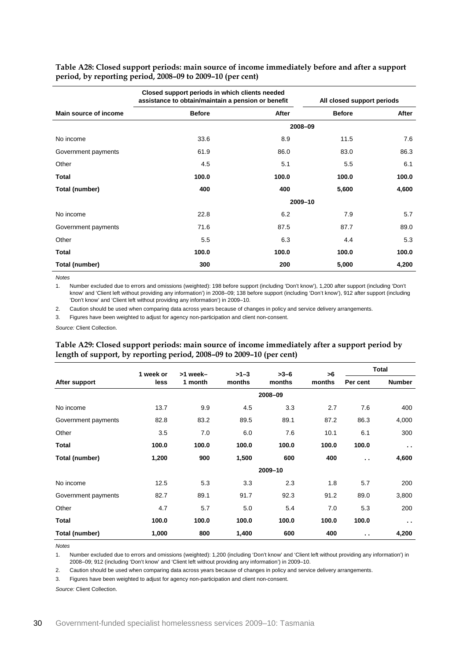<span id="page-33-0"></span>**Table A28: Closed support periods: main source of income immediately before and after a support period, by reporting period, 2008–09 to 2009–10 (per cent)**

|                       |               | Closed support periods in which clients needed<br>assistance to obtain/maintain a pension or benefit |               | All closed support periods |  |  |
|-----------------------|---------------|------------------------------------------------------------------------------------------------------|---------------|----------------------------|--|--|
| Main source of income | <b>Before</b> | After                                                                                                | <b>Before</b> | After                      |  |  |
|                       |               |                                                                                                      | 2008-09       |                            |  |  |
| No income             | 33.6          | 8.9                                                                                                  | 11.5          | 7.6                        |  |  |
| Government payments   | 61.9          | 86.0                                                                                                 | 83.0          | 86.3                       |  |  |
| Other                 | 4.5           | 5.1                                                                                                  | 5.5           | 6.1                        |  |  |
| Total                 | 100.0         | 100.0                                                                                                | 100.0         | 100.0                      |  |  |
| Total (number)        | 400           | 400                                                                                                  | 5,600         | 4,600                      |  |  |
|                       |               |                                                                                                      | 2009-10       |                            |  |  |
| No income             | 22.8          | 6.2                                                                                                  | 7.9           | 5.7                        |  |  |
| Government payments   | 71.6          | 87.5                                                                                                 | 87.7          | 89.0                       |  |  |
| Other                 | 5.5           | 6.3                                                                                                  | 4.4           | 5.3                        |  |  |
| Total                 | 100.0         | 100.0                                                                                                | 100.0         | 100.0                      |  |  |
| Total (number)        | 300           | 200                                                                                                  | 5,000         | 4,200                      |  |  |

*Notes*

1. Number excluded due to errors and omissions (weighted): 198 before support (including 'Don't know'), 1,200 after support (including 'Don't know' and 'Client left without providing any information') in 2008–09; 138 before support (including 'Don't know'), 912 after support (including 'Don't know' and 'Client left without providing any information') in 2009–10.

2. Caution should be used when comparing data across years because of changes in policy and service delivery arrangements.

3. Figures have been weighted to adjust for agency non-participation and client non-consent.

<span id="page-33-1"></span>*Source:* Client Collection.

#### **Table A29: Closed support periods: main source of income immediately after a support period by length of support, by reporting period, 2008–09 to 2009–10 (per cent)**

|                     | 1 week or | >1 week- | $>1-3$ | $>3-6$  | >6     |               | <b>Total</b>         |
|---------------------|-----------|----------|--------|---------|--------|---------------|----------------------|
| After support       | less      | 1 month  | months | months  | months | Per cent      | <b>Number</b>        |
|                     |           |          |        | 2008-09 |        |               |                      |
| No income           | 13.7      | 9.9      | 4.5    | 3.3     | 2.7    | 7.6           | 400                  |
| Government payments | 82.8      | 83.2     | 89.5   | 89.1    | 87.2   | 86.3          | 4,000                |
| Other               | 3.5       | 7.0      | 6.0    | 7.6     | 10.1   | 6.1           | 300                  |
| <b>Total</b>        | 100.0     | 100.0    | 100.0  | 100.0   | 100.0  | 100.0         | $\ddot{\phantom{a}}$ |
| Total (number)      | 1,200     | 900      | 1,500  | 600     | 400    | $\sim$ $\sim$ | 4,600                |
|                     |           |          |        | 2009-10 |        |               |                      |
| No income           | 12.5      | 5.3      | 3.3    | 2.3     | 1.8    | 5.7           | 200                  |
| Government payments | 82.7      | 89.1     | 91.7   | 92.3    | 91.2   | 89.0          | 3,800                |
| Other               | 4.7       | 5.7      | 5.0    | 5.4     | 7.0    | 5.3           | 200                  |
| Total               | 100.0     | 100.0    | 100.0  | 100.0   | 100.0  | 100.0         | $\sim$               |
| Total (number)      | 1,000     | 800      | 1,400  | 600     | 400    | $\sim$ $\sim$ | 4,200                |

*Notes*

1. Number excluded due to errors and omissions (weighted): 1,200 (including 'Don't know' and 'Client left without providing any information') in 2008–09; 912 (including 'Don't know' and 'Client left without providing any information') in 2009–10.

2. Caution should be used when comparing data across years because of changes in policy and service delivery arrangements.

3. Figures have been weighted to adjust for agency non-participation and client non-consent.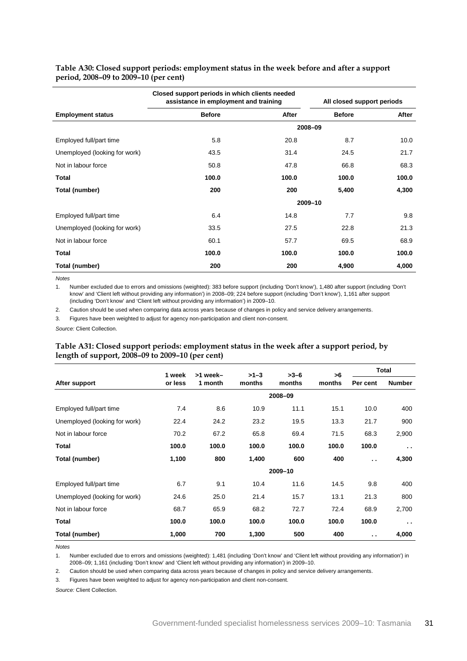|                               | Closed support periods in which clients needed<br>assistance in employment and training |       |               | All closed support periods |
|-------------------------------|-----------------------------------------------------------------------------------------|-------|---------------|----------------------------|
| <b>Employment status</b>      | <b>Before</b>                                                                           | After | <b>Before</b> | After                      |
|                               |                                                                                         |       | 2008-09       |                            |
| Employed full/part time       | 5.8                                                                                     | 20.8  | 8.7           | 10.0                       |
| Unemployed (looking for work) | 43.5                                                                                    | 31.4  | 24.5          | 21.7                       |
| Not in labour force           | 50.8                                                                                    | 47.8  | 66.8          | 68.3                       |
| <b>Total</b>                  | 100.0                                                                                   | 100.0 | 100.0         | 100.0                      |
| Total (number)                | 200                                                                                     | 200   | 5,400         | 4,300                      |
|                               |                                                                                         |       | 2009-10       |                            |
| Employed full/part time       | 6.4                                                                                     | 14.8  | 7.7           | 9.8                        |
| Unemployed (looking for work) | 33.5                                                                                    | 27.5  | 22.8          | 21.3                       |
| Not in labour force           | 60.1                                                                                    | 57.7  | 69.5          | 68.9                       |
| Total                         | 100.0                                                                                   | 100.0 | 100.0         | 100.0                      |
| Total (number)                | 200                                                                                     | 200   | 4,900         | 4,000                      |

#### <span id="page-34-0"></span>**Table A30: Closed support periods: employment status in the week before and after a support period, 2008–09 to 2009–10 (per cent)**

*Notes*

1. Number excluded due to errors and omissions (weighted): 383 before support (including 'Don't know'), 1,480 after support (including 'Don't know' and 'Client left without providing any information') in 2008–09; 224 before support (including 'Don't know'), 1,161 after support (including 'Don't know' and 'Client left without providing any information') in 2009–10.

2. Caution should be used when comparing data across years because of changes in policy and service delivery arrangements.

3. Figures have been weighted to adjust for agency non-participation and client non-consent.

<span id="page-34-1"></span>*Source:* Client Collection.

#### **Table A31: Closed support periods: employment status in the week after a support period, by length of support, 2008–09 to 2009–10 (per cent)**

|                               | 1 week  | >1 week- | $>1-3$ | $>3-6$  | >6     | Total                |               |
|-------------------------------|---------|----------|--------|---------|--------|----------------------|---------------|
| After support                 | or less | 1 month  | months | months  | months | Per cent             | <b>Number</b> |
|                               |         |          |        | 2008-09 |        |                      |               |
| Employed full/part time       | 7.4     | 8.6      | 10.9   | 11.1    | 15.1   | 10.0                 | 400           |
| Unemployed (looking for work) | 22.4    | 24.2     | 23.2   | 19.5    | 13.3   | 21.7                 | 900           |
| Not in labour force           | 70.2    | 67.2     | 65.8   | 69.4    | 71.5   | 68.3                 | 2,900         |
| Total                         | 100.0   | 100.0    | 100.0  | 100.0   | 100.0  | 100.0                | $\sim$ $\sim$ |
| Total (number)                | 1,100   | 800      | 1,400  | 600     | 400    | $\ddot{\phantom{a}}$ | 4,300         |
|                               |         |          |        | 2009-10 |        |                      |               |
| Employed full/part time       | 6.7     | 9.1      | 10.4   | 11.6    | 14.5   | 9.8                  | 400           |
| Unemployed (looking for work) | 24.6    | 25.0     | 21.4   | 15.7    | 13.1   | 21.3                 | 800           |
| Not in labour force           | 68.7    | 65.9     | 68.2   | 72.7    | 72.4   | 68.9                 | 2,700         |
| <b>Total</b>                  | 100.0   | 100.0    | 100.0  | 100.0   | 100.0  | 100.0                | $\sim$        |
| Total (number)                | 1,000   | 700      | 1,300  | 500     | 400    | $\sim$               | 4,000         |

*Notes*

1. Number excluded due to errors and omissions (weighted): 1,481 (including 'Don't know' and 'Client left without providing any information') in 2008–09; 1,161 (including 'Don't know' and 'Client left without providing any information') in 2009–10.

2. Caution should be used when comparing data across years because of changes in policy and service delivery arrangements.

3. Figures have been weighted to adjust for agency non-participation and client non-consent.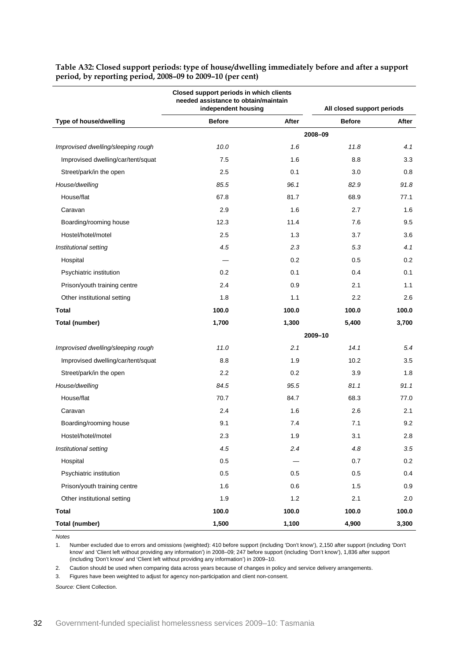|                                    | Closed support periods in which clients<br>needed assistance to obtain/maintain<br>independent housing |       | All closed support periods |       |
|------------------------------------|--------------------------------------------------------------------------------------------------------|-------|----------------------------|-------|
| Type of house/dwelling             | <b>Before</b>                                                                                          | After | <b>Before</b>              | After |
|                                    |                                                                                                        |       | 2008-09                    |       |
| Improvised dwelling/sleeping rough | 10.0                                                                                                   | 1.6   | 11.8                       | 4.1   |
| Improvised dwelling/car/tent/squat | 7.5                                                                                                    | 1.6   | 8.8                        | 3.3   |
| Street/park/in the open            | 2.5                                                                                                    | 0.1   | 3.0                        | 0.8   |
| House/dwelling                     | 85.5                                                                                                   | 96.1  | 82.9                       | 91.8  |
| House/flat                         | 67.8                                                                                                   | 81.7  | 68.9                       | 77.1  |
| Caravan                            | 2.9                                                                                                    | 1.6   | 2.7                        | 1.6   |
| Boarding/rooming house             | 12.3                                                                                                   | 11.4  | 7.6                        | 9.5   |
| Hostel/hotel/motel                 | 2.5                                                                                                    | 1.3   | 3.7                        | 3.6   |
| Institutional setting              | 4.5                                                                                                    | 2.3   | 5.3                        | 4.1   |
| Hospital                           |                                                                                                        | 0.2   | 0.5                        | 0.2   |
| Psychiatric institution            | 0.2                                                                                                    | 0.1   | 0.4                        | 0.1   |
| Prison/youth training centre       | 2.4                                                                                                    | 0.9   | 2.1                        | 1.1   |
| Other institutional setting        | 1.8                                                                                                    | 1.1   | $2.2\phantom{0}$           | 2.6   |
| Total                              | 100.0                                                                                                  | 100.0 | 100.0                      | 100.0 |
| Total (number)                     | 1,700                                                                                                  | 1,300 | 5,400                      | 3,700 |
|                                    |                                                                                                        |       | 2009-10                    |       |
| Improvised dwelling/sleeping rough | 11.0                                                                                                   | 2.1   | 14.1                       | 5.4   |
| Improvised dwelling/car/tent/squat | 8.8                                                                                                    | 1.9   | 10.2                       | 3.5   |
| Street/park/in the open            | 2.2                                                                                                    | 0.2   | 3.9                        | 1.8   |
| House/dwelling                     | 84.5                                                                                                   | 95.5  | 81.1                       | 91.1  |
| House/flat                         | 70.7                                                                                                   | 84.7  | 68.3                       | 77.0  |
| Caravan                            | 2.4                                                                                                    | 1.6   | 2.6                        | 2.1   |
| Boarding/rooming house             | 9.1                                                                                                    | 7.4   | 7.1                        | 9.2   |
| Hostel/hotel/motel                 | 2.3                                                                                                    | 1.9   | 3.1                        | 2.8   |
| Institutional setting              | 4.5                                                                                                    | 2.4   | 4.8                        | 3.5   |
| Hospital                           | 0.5                                                                                                    |       | 0.7                        | 0.2   |
| Psychiatric institution            | 0.5                                                                                                    | 0.5   | 0.5                        | 0.4   |
| Prison/youth training centre       | 1.6                                                                                                    | 0.6   | 1.5                        | 0.9   |
| Other institutional setting        | 1.9                                                                                                    | 1.2   | 2.1                        | 2.0   |
| <b>Total</b>                       | 100.0                                                                                                  | 100.0 | 100.0                      | 100.0 |
| <b>Total (number)</b>              | 1,500                                                                                                  | 1,100 | 4,900                      | 3,300 |

<span id="page-35-0"></span>**Table A32: Closed support periods: type of house/dwelling immediately before and after a support period, by reporting period, 2008–09 to 2009–10 (per cent)**

*Notes*

1. Number excluded due to errors and omissions (weighted): 410 before support (including 'Don't know'), 2,150 after support (including 'Don't know' and 'Client left without providing any information') in 2008–09; 247 before support (including 'Don't know'), 1,836 after support (including 'Don't know' and 'Client left without providing any information') in 2009–10.

2. Caution should be used when comparing data across years because of changes in policy and service delivery arrangements.

3. Figures have been weighted to adjust for agency non-participation and client non-consent.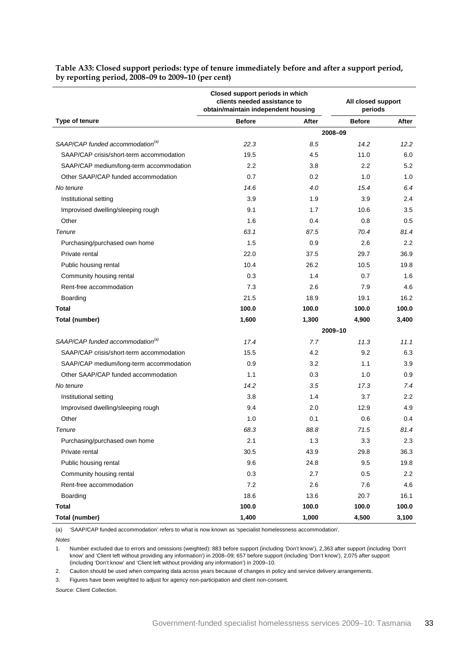|                                              | Closed support periods in which<br>clients needed assistance to<br>obtain/maintain independent housing |       | All closed support<br>periods |       |
|----------------------------------------------|--------------------------------------------------------------------------------------------------------|-------|-------------------------------|-------|
| Type of tenure                               | <b>Before</b>                                                                                          | After | <b>Before</b>                 | After |
|                                              |                                                                                                        |       | 2008-09                       |       |
| SAAP/CAP funded accommodation <sup>(a)</sup> | 22.3                                                                                                   | 8.5   | 14.2                          | 12.2  |
| SAAP/CAP crisis/short-term accommodation     | 19.5                                                                                                   | 4.5   | 11.0                          | 6.0   |
| SAAP/CAP medium/long-term accommodation      | 2.2                                                                                                    | 3.8   | $2.2\phantom{0}$              | 5.2   |
| Other SAAP/CAP funded accommodation          | 0.7                                                                                                    | 0.2   | 1.0                           | 1.0   |
| No tenure                                    | 14.6                                                                                                   | 4.0   | 15.4                          | 6.4   |
| Institutional setting                        | 3.9                                                                                                    | 1.9   | 3.9                           | 2.4   |
| Improvised dwelling/sleeping rough           | 9.1                                                                                                    | 1.7   | 10.6                          | 3.5   |
| Other                                        | 1.6                                                                                                    | 0.4   | 0.8                           | 0.5   |
| Tenure                                       | 63.1                                                                                                   | 87.5  | 70.4                          | 81.4  |
| Purchasing/purchased own home                | 1.5                                                                                                    | 0.9   | 2.6                           | 2.2   |
| Private rental                               | 22.0                                                                                                   | 37.5  | 29.7                          | 36.9  |
| Public housing rental                        | 10.4                                                                                                   | 26.2  | 10.5                          | 19.8  |
| Community housing rental                     | 0.3                                                                                                    | 1.4   | 0.7                           | 1.6   |
| Rent-free accommodation                      | 7.3                                                                                                    | 2.6   | 7.9                           | 4.6   |
| Boarding                                     | 21.5                                                                                                   | 18.9  | 19.1                          | 16.2  |
| Total                                        | 100.0                                                                                                  | 100.0 | 100.0                         | 100.0 |
| Total (number)                               | 1,600                                                                                                  | 1,300 | 4,900                         | 3,400 |
|                                              |                                                                                                        |       | 2009-10                       |       |
| SAAP/CAP funded accommodation <sup>(a)</sup> | 17.4                                                                                                   | 7.7   | 11.3                          | 11.1  |
| SAAP/CAP crisis/short-term accommodation     | 15.5                                                                                                   | 4.2   | 9.2                           | 6.3   |
| SAAP/CAP medium/long-term accommodation      | 0.9                                                                                                    | 3.2   | 1.1                           | 3.9   |
| Other SAAP/CAP funded accommodation          | 1.1                                                                                                    | 0.3   | 1.0                           | 0.9   |
| No tenure                                    | 14.2                                                                                                   | 3.5   | 17.3                          | 7.4   |
| Institutional setting                        | 3.8                                                                                                    | 1.4   | 3.7                           | 2.2   |
| Improvised dwelling/sleeping rough           | 9.4                                                                                                    | 2.0   | 12.9                          | 4.9   |
| Other                                        | 1.0                                                                                                    | 0.1   | 0.6                           | 0.4   |
| Tenure                                       | 68.3                                                                                                   | 88.8  | 71.5                          | 81.4  |
| Purchasing/purchased own home                | 2.1                                                                                                    | 1.3   | 3.3                           | 2.3   |
| Private rental                               | 30.5                                                                                                   | 43.9  | 29.8                          | 36.3  |
| Public housing rental                        | 9.6                                                                                                    | 24.8  | 9.5                           | 19.8  |
| Community housing rental                     | 0.3                                                                                                    | 2.7   | 0.5                           | 2.2   |
| Rent-free accommodation                      | 7.2                                                                                                    | 2.6   | 7.6                           | 4.6   |
| Boarding                                     | 18.6                                                                                                   | 13.6  | 20.7                          | 16.1  |
| <b>Total</b>                                 | 100.0                                                                                                  | 100.0 | 100.0                         | 100.0 |
| Total (number)                               | 1,400                                                                                                  | 1,000 | 4,500                         | 3,100 |

<span id="page-36-0"></span>**Table A33: Closed support periods: type of tenure immediately before and after a support period, by reporting period, 2008–09 to 2009–10 (per cent)**

(a) 'SAAP/CAP funded accommodation' refers to what is now known as 'specialist homelessness accommodation'.

*Notes*

1. Number excluded due to errors and omissions (weighted): 883 before support (including 'Don't know'), 2,363 after support (including 'Don't know' and 'Client left without providing any information') in 2008–09; 657 before support (including 'Don't know'), 2,075 after support (including 'Don't know' and 'Client left without providing any information') in 2009–10.

2. Caution should be used when comparing data across years because of changes in policy and service delivery arrangements.

3. Figures have been weighted to adjust for agency non-participation and client non-consent.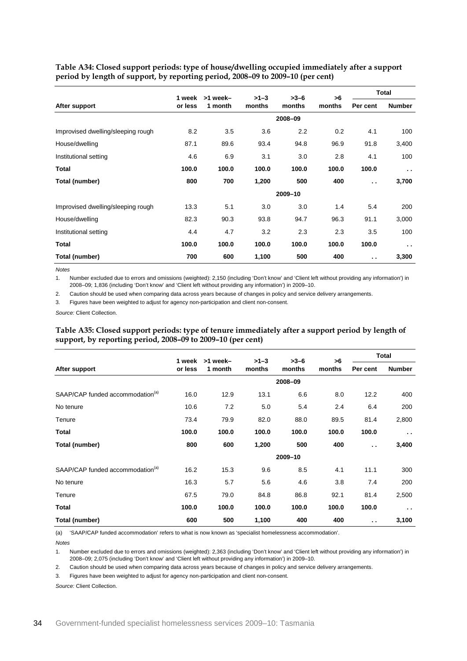<span id="page-37-0"></span>**Table A34: Closed support periods: type of house/dwelling occupied immediately after a support period by length of support, by reporting period, 2008–09 to 2009–10 (per cent)**

|                                    | 1 week  | >1 week- | $>1-3$ | $>3-6$  | >6     |                      | Total         |
|------------------------------------|---------|----------|--------|---------|--------|----------------------|---------------|
| After support                      | or less | 1 month  | months | months  | months | Per cent             | <b>Number</b> |
|                                    |         |          |        | 2008-09 |        |                      |               |
| Improvised dwelling/sleeping rough | 8.2     | 3.5      | 3.6    | 2.2     | 0.2    | 4.1                  | 100           |
| House/dwelling                     | 87.1    | 89.6     | 93.4   | 94.8    | 96.9   | 91.8                 | 3,400         |
| Institutional setting              | 4.6     | 6.9      | 3.1    | 3.0     | 2.8    | 4.1                  | 100           |
| Total                              | 100.0   | 100.0    | 100.0  | 100.0   | 100.0  | 100.0                | $\sim$ $\sim$ |
| Total (number)                     | 800     | 700      | 1,200  | 500     | 400    | $\ddot{\phantom{a}}$ | 3,700         |
|                                    |         |          |        | 2009-10 |        |                      |               |
| Improvised dwelling/sleeping rough | 13.3    | 5.1      | 3.0    | 3.0     | 1.4    | 5.4                  | 200           |
| House/dwelling                     | 82.3    | 90.3     | 93.8   | 94.7    | 96.3   | 91.1                 | 3,000         |
| Institutional setting              | 4.4     | 4.7      | 3.2    | 2.3     | 2.3    | 3.5                  | 100           |
| Total                              | 100.0   | 100.0    | 100.0  | 100.0   | 100.0  | 100.0                | $\sim$        |
| Total (number)                     | 700     | 600      | 1,100  | 500     | 400    | $\ddot{\phantom{a}}$ | 3,300         |

*Notes*

1. Number excluded due to errors and omissions (weighted): 2,150 (including 'Don't know' and 'Client left without providing any information') in 2008–09; 1,836 (including 'Don't know' and 'Client left without providing any information') in 2009–10.

2. Caution should be used when comparing data across years because of changes in policy and service delivery arrangements.

3. Figures have been weighted to adjust for agency non-participation and client non-consent.

<span id="page-37-1"></span>*Source:* Client Collection.

**Table A35: Closed support periods: type of tenure immediately after a support period by length of support, by reporting period, 2008–09 to 2009–10 (per cent)**

|                                              | 1 week  | >1 week- | $>1-3$ | $>3-6$  | >6     |                      | <b>Total</b>  |
|----------------------------------------------|---------|----------|--------|---------|--------|----------------------|---------------|
| After support                                | or less | 1 month  | months | months  | months | Per cent             | <b>Number</b> |
|                                              |         |          |        | 2008-09 |        |                      |               |
| SAAP/CAP funded accommodation <sup>(a)</sup> | 16.0    | 12.9     | 13.1   | 6.6     | 8.0    | 12.2                 | 400           |
| No tenure                                    | 10.6    | 7.2      | 5.0    | 5.4     | 2.4    | 6.4                  | 200           |
| Tenure                                       | 73.4    | 79.9     | 82.0   | 88.0    | 89.5   | 81.4                 | 2,800         |
| <b>Total</b>                                 | 100.0   | 100.0    | 100.0  | 100.0   | 100.0  | 100.0                | $\sim$ $\sim$ |
| Total (number)                               | 800     | 600      | 1,200  | 500     | 400    | $\ddot{\phantom{a}}$ | 3,400         |
|                                              |         |          |        | 2009-10 |        |                      |               |
| SAAP/CAP funded accommodation <sup>(a)</sup> | 16.2    | 15.3     | 9.6    | 8.5     | 4.1    | 11.1                 | 300           |
| No tenure                                    | 16.3    | 5.7      | 5.6    | 4.6     | 3.8    | 7.4                  | 200           |
| Tenure                                       | 67.5    | 79.0     | 84.8   | 86.8    | 92.1   | 81.4                 | 2,500         |
| <b>Total</b>                                 | 100.0   | 100.0    | 100.0  | 100.0   | 100.0  | 100.0                | $\sim$ $\sim$ |
| Total (number)                               | 600     | 500      | 1,100  | 400     | 400    | $\ddot{\phantom{1}}$ | 3,100         |

(a) 'SAAP/CAP funded accommodation' refers to what is now known as 'specialist homelessness accommodation'.

*Notes*

1. Number excluded due to errors and omissions (weighted): 2,363 (including 'Don't know' and 'Client left without providing any information') in 2008–09; 2,075 (including 'Don't know' and 'Client left without providing any information') in 2009–10.

2. Caution should be used when comparing data across years because of changes in policy and service delivery arrangements.

3. Figures have been weighted to adjust for agency non-participation and client non-consent.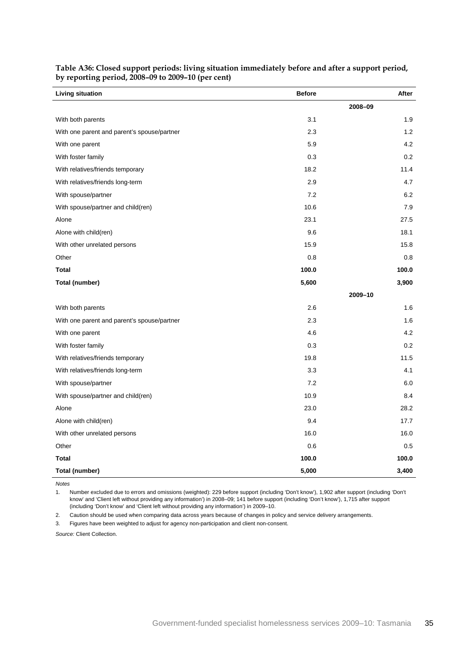| Living situation                            | <b>Before</b> | After   |
|---------------------------------------------|---------------|---------|
|                                             |               | 2008-09 |
| With both parents                           | 3.1           | 1.9     |
| With one parent and parent's spouse/partner | 2.3           | 1.2     |
| With one parent                             | 5.9           | 4.2     |
| With foster family                          | 0.3           | 0.2     |
| With relatives/friends temporary            | 18.2          | 11.4    |
| With relatives/friends long-term            | 2.9           | 4.7     |
| With spouse/partner                         | 7.2           | 6.2     |
| With spouse/partner and child(ren)          | 10.6          | 7.9     |
| Alone                                       | 23.1          | 27.5    |
| Alone with child(ren)                       | 9.6           | 18.1    |
| With other unrelated persons                | 15.9          | 15.8    |
| Other                                       | 0.8           | 0.8     |
| <b>Total</b>                                | 100.0         | 100.0   |
| <b>Total (number)</b>                       | 5,600         | 3,900   |
|                                             |               | 2009-10 |
| With both parents                           | 2.6           | 1.6     |
| With one parent and parent's spouse/partner | 2.3           | 1.6     |
| With one parent                             | 4.6           | 4.2     |
| With foster family                          | 0.3           | 0.2     |
| With relatives/friends temporary            | 19.8          | 11.5    |
| With relatives/friends long-term            | 3.3           | 4.1     |
| With spouse/partner                         | 7.2           | 6.0     |
| With spouse/partner and child(ren)          | 10.9          | 8.4     |
| Alone                                       | 23.0          | 28.2    |
| Alone with child(ren)                       | 9.4           | 17.7    |
| With other unrelated persons                | 16.0          | 16.0    |
| Other                                       | 0.6           | 0.5     |
| <b>Total</b>                                | 100.0         | 100.0   |
| <b>Total (number)</b>                       | 5,000         | 3,400   |

<span id="page-38-0"></span>**Table A36: Closed support periods: living situation immediately before and after a support period, by reporting period, 2008–09 to 2009–10 (per cent)**

*Notes*

1. Number excluded due to errors and omissions (weighted): 229 before support (including 'Don't know'), 1,902 after support (including 'Don't know' and 'Client left without providing any information') in 2008–09; 141 before support (including 'Don't know'), 1,715 after support (including 'Don't know' and 'Client left without providing any information') in 2009–10.

2. Caution should be used when comparing data across years because of changes in policy and service delivery arrangements.

3. Figures have been weighted to adjust for agency non-participation and client non-consent.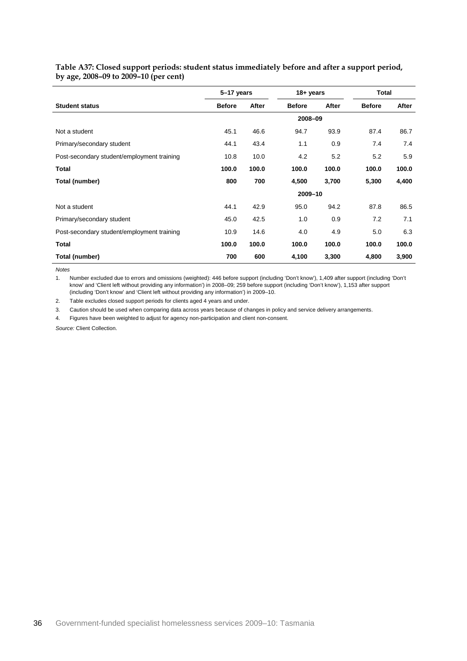|                                            | 5-17 years    |       |               | 18+ years |               | <b>Total</b> |
|--------------------------------------------|---------------|-------|---------------|-----------|---------------|--------------|
| <b>Student status</b>                      | <b>Before</b> | After | <b>Before</b> | After     | <b>Before</b> | After        |
|                                            |               |       | 2008-09       |           |               |              |
| Not a student                              | 45.1          | 46.6  | 94.7          | 93.9      | 87.4          | 86.7         |
| Primary/secondary student                  | 44.1          | 43.4  | 1.1           | 0.9       | 7.4           | 7.4          |
| Post-secondary student/employment training | 10.8          | 10.0  | 4.2           | 5.2       | 5.2           | 5.9          |
| <b>Total</b>                               | 100.0         | 100.0 | 100.0         | 100.0     | 100.0         | 100.0        |
| Total (number)                             | 800           | 700   | 4,500         | 3,700     | 5,300         | 4,400        |
|                                            |               |       | 2009-10       |           |               |              |
| Not a student                              | 44.1          | 42.9  | 95.0          | 94.2      | 87.8          | 86.5         |
| Primary/secondary student                  | 45.0          | 42.5  | 1.0           | 0.9       | 7.2           | 7.1          |
| Post-secondary student/employment training | 10.9          | 14.6  | 4.0           | 4.9       | 5.0           | 6.3          |
| Total                                      | 100.0         | 100.0 | 100.0         | 100.0     | 100.0         | 100.0        |
| Total (number)                             | 700           | 600   | 4,100         | 3,300     | 4,800         | 3,900        |

<span id="page-39-0"></span>**Table A37: Closed support periods: student status immediately before and after a support period, by age, 2008–09 to 2009–10 (per cent)**

*Notes*

1. Number excluded due to errors and omissions (weighted): 446 before support (including 'Don't know'), 1,409 after support (including 'Don't know' and 'Client left without providing any information') in 2008–09; 259 before support (including 'Don't know'), 1,153 after support (including 'Don't know' and 'Client left without providing any information') in 2009–10.

2. Table excludes closed support periods for clients aged 4 years and under.

3. Caution should be used when comparing data across years because of changes in policy and service delivery arrangements.

4. Figures have been weighted to adjust for agency non-participation and client non-consent.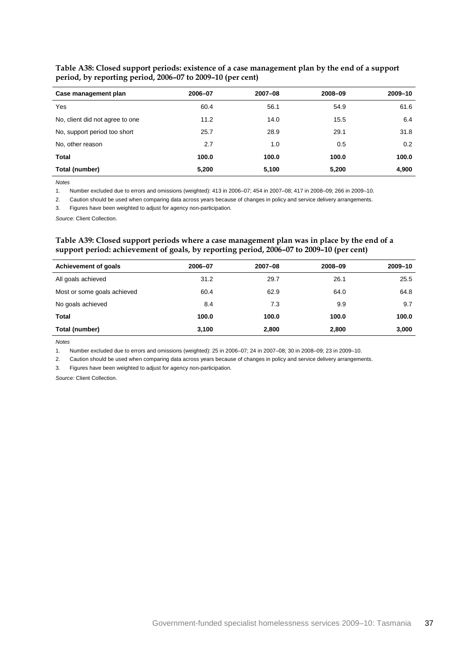| Case management plan            | 2006-07 | 2007-08 | 2008-09 | 2009-10 |
|---------------------------------|---------|---------|---------|---------|
| Yes                             | 60.4    | 56.1    | 54.9    | 61.6    |
| No, client did not agree to one | 11.2    | 14.0    | 15.5    | 6.4     |
| No, support period too short    | 25.7    | 28.9    | 29.1    | 31.8    |
| No, other reason                | 2.7     | 1.0     | 0.5     | 0.2     |
| <b>Total</b>                    | 100.0   | 100.0   | 100.0   | 100.0   |
| Total (number)                  | 5,200   | 5,100   | 5,200   | 4,900   |

<span id="page-40-0"></span>**Table A38: Closed support periods: existence of a case management plan by the end of a support period, by reporting period, 2006–07 to 2009–10 (per cent)**

*Notes*

1. Number excluded due to errors and omissions (weighted): 413 in 2006–07; 454 in 2007–08; 417 in 2008–09; 266 in 2009–10.

2. Caution should be used when comparing data across years because of changes in policy and service delivery arrangements.

3. Figures have been weighted to adjust for agency non-participation.

<span id="page-40-1"></span>*Source:* Client Collection.

#### **Table A39: Closed support periods where a case management plan was in place by the end of a support period: achievement of goals, by reporting period, 2006–07 to 2009–10 (per cent)**

| Achievement of goals        | 2006-07 | $2007 - 08$ | 2008-09 | 2009-10 |
|-----------------------------|---------|-------------|---------|---------|
| All goals achieved          | 31.2    | 29.7        | 26.1    | 25.5    |
| Most or some goals achieved | 60.4    | 62.9        | 64.0    | 64.8    |
| No goals achieved           | 8.4     | 7.3         | 9.9     | 9.7     |
| Total                       | 100.0   | 100.0       | 100.0   | 100.0   |
| Total (number)              | 3,100   | 2,800       | 2,800   | 3,000   |

*Notes*

1. Number excluded due to errors and omissions (weighted): 25 in 2006–07; 24 in 2007–08; 30 in 2008–09; 23 in 2009–10.

2. Caution should be used when comparing data across years because of changes in policy and service delivery arrangements.

3. Figures have been weighted to adjust for agency non-participation.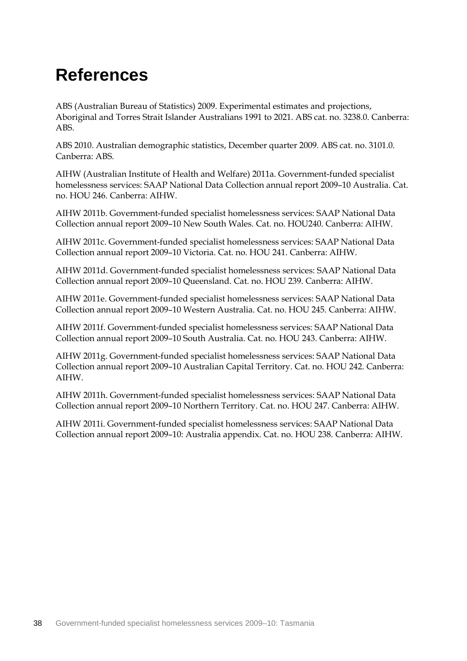## <span id="page-41-0"></span>**References**

ABS (Australian Bureau of Statistics) 2009. Experimental estimates and projections, Aboriginal and Torres Strait Islander Australians 1991 to 2021. ABS cat. no. 3238.0. Canberra: ABS.

ABS 2010. Australian demographic statistics, December quarter 2009. ABS cat. no. 3101.0. Canberra: ABS.

AIHW (Australian Institute of Health and Welfare) 2011a. Government-funded specialist homelessness services: SAAP National Data Collection annual report 2009–10 Australia. Cat. no. HOU 246. Canberra: AIHW.

AIHW 2011b. Government-funded specialist homelessness services: SAAP National Data Collection annual report 2009–10 New South Wales. Cat. no. HOU240. Canberra: AIHW.

AIHW 2011c. Government-funded specialist homelessness services: SAAP National Data Collection annual report 2009–10 Victoria. Cat. no. HOU 241. Canberra: AIHW.

AIHW 2011d. Government-funded specialist homelessness services: SAAP National Data Collection annual report 2009–10 Queensland. Cat. no. HOU 239. Canberra: AIHW.

AIHW 2011e. Government-funded specialist homelessness services: SAAP National Data Collection annual report 2009–10 Western Australia. Cat. no. HOU 245. Canberra: AIHW.

AIHW 2011f. Government-funded specialist homelessness services: SAAP National Data Collection annual report 2009–10 South Australia. Cat. no. HOU 243. Canberra: AIHW.

AIHW 2011g. Government-funded specialist homelessness services: SAAP National Data Collection annual report 2009–10 Australian Capital Territory. Cat. no. HOU 242. Canberra: AIHW.

AIHW 2011h. Government-funded specialist homelessness services: SAAP National Data Collection annual report 2009–10 Northern Territory. Cat. no. HOU 247. Canberra: AIHW.

AIHW 2011i. Government-funded specialist homelessness services: SAAP National Data Collection annual report 2009–10: Australia appendix. Cat. no. HOU 238. Canberra: AIHW.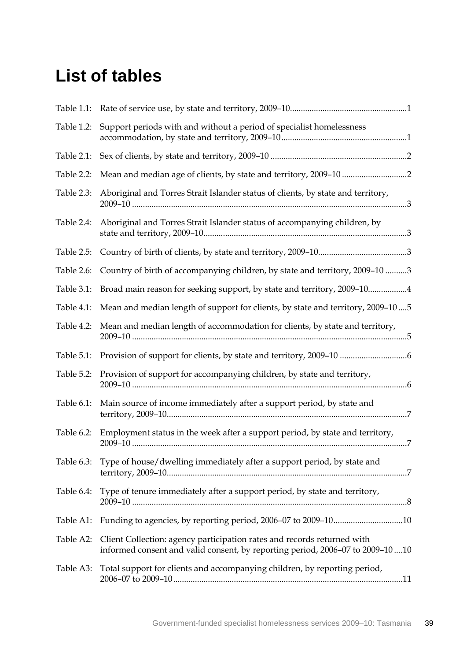### <span id="page-42-0"></span>**List of tables**

| Table 1.1: |                                                                                                                                                           |
|------------|-----------------------------------------------------------------------------------------------------------------------------------------------------------|
| Table 1.2: | Support periods with and without a period of specialist homelessness                                                                                      |
| Table 2.1: |                                                                                                                                                           |
| Table 2.2: |                                                                                                                                                           |
| Table 2.3: | Aboriginal and Torres Strait Islander status of clients, by state and territory,                                                                          |
| Table 2.4: | Aboriginal and Torres Strait Islander status of accompanying children, by                                                                                 |
| Table 2.5: |                                                                                                                                                           |
| Table 2.6: | Country of birth of accompanying children, by state and territory, 2009-10 3                                                                              |
| Table 3.1: | Broad main reason for seeking support, by state and territory, 2009-104                                                                                   |
| Table 4.1: | Mean and median length of support for clients, by state and territory, 2009-105                                                                           |
| Table 4.2: | Mean and median length of accommodation for clients, by state and territory,                                                                              |
| Table 5.1: |                                                                                                                                                           |
| Table 5.2: | Provision of support for accompanying children, by state and territory,                                                                                   |
| Table 6.1: | Main source of income immediately after a support period, by state and                                                                                    |
| Table 6.2: | Employment status in the week after a support period, by state and territory,                                                                             |
| Table 6.3: | Type of house/dwelling immediately after a support period, by state and                                                                                   |
| Table 6.4: | Type of tenure immediately after a support period, by state and territory,                                                                                |
| Table A1:  | Funding to agencies, by reporting period, 2006-07 to 2009-1010                                                                                            |
| Table A2:  | Client Collection: agency participation rates and records returned with<br>informed consent and valid consent, by reporting period, 2006-07 to 2009-10 10 |
| Table A3:  | Total support for clients and accompanying children, by reporting period,                                                                                 |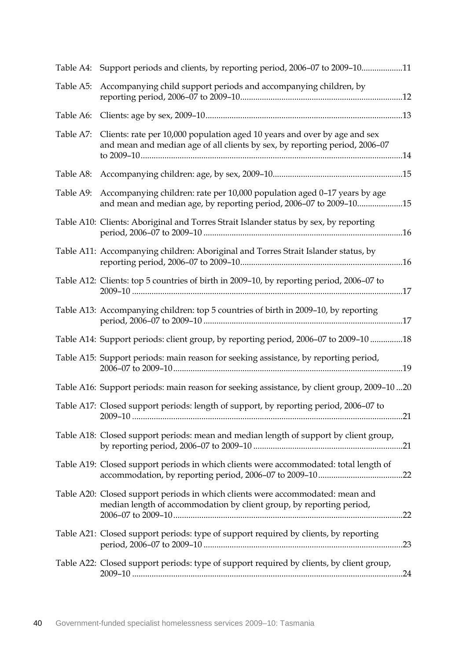|           | Table A4: Support periods and clients, by reporting period, 2006-07 to 2009-1011                                                                         |
|-----------|----------------------------------------------------------------------------------------------------------------------------------------------------------|
| Table A5: | Accompanying child support periods and accompanying children, by                                                                                         |
|           |                                                                                                                                                          |
| Table A7: | Clients: rate per 10,000 population aged 10 years and over by age and sex<br>and mean and median age of all clients by sex, by reporting period, 2006-07 |
|           |                                                                                                                                                          |
| Table A9: | Accompanying children: rate per 10,000 population aged 0-17 years by age<br>and mean and median age, by reporting period, 2006-07 to 2009-1015           |
|           | Table A10: Clients: Aboriginal and Torres Strait Islander status by sex, by reporting                                                                    |
|           | Table A11: Accompanying children: Aboriginal and Torres Strait Islander status, by                                                                       |
|           | Table A12: Clients: top 5 countries of birth in 2009-10, by reporting period, 2006-07 to                                                                 |
|           | Table A13: Accompanying children: top 5 countries of birth in 2009-10, by reporting                                                                      |
|           | Table A14: Support periods: client group, by reporting period, 2006-07 to 2009-10 18                                                                     |
|           | Table A15: Support periods: main reason for seeking assistance, by reporting period,                                                                     |
|           | Table A16: Support periods: main reason for seeking assistance, by client group, 2009-1020                                                               |
|           | Table A17: Closed support periods: length of support, by reporting period, 2006-07 to                                                                    |
|           | Table A18: Closed support periods: mean and median length of support by client group,                                                                    |
|           | Table A19: Closed support periods in which clients were accommodated: total length of                                                                    |
|           | Table A20: Closed support periods in which clients were accommodated: mean and<br>median length of accommodation by client group, by reporting period,   |
|           | Table A21: Closed support periods: type of support required by clients, by reporting                                                                     |
|           | Table A22: Closed support periods: type of support required by clients, by client group,                                                                 |